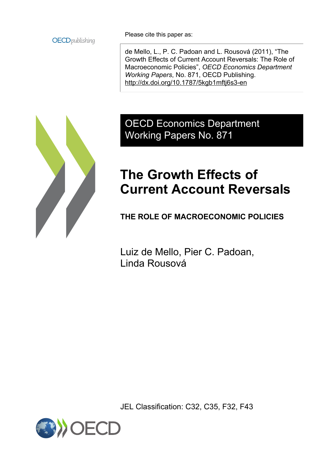

Please cite this paper as:

de Mello, L., P. C. Padoan and L. Rousová (2011), "The Growth Effects of Current Account Reversals: The Role of Macroeconomic Policies", *OECD Economics Department Working Papers*, No. 871, OECD Publishing. <http://dx.doi.org/10.1787/5kgb1mftj6s3-en>



# OECD Economics Department Working Papers No. 871

# **The Growth Effects of Current Account Reversals**

**THE ROLE OF MACROECONOMIC POLICIES**

Luiz de Mello, Pier C. Padoan, Linda Rousová

JEL Classification: C32, C35, F32, F43

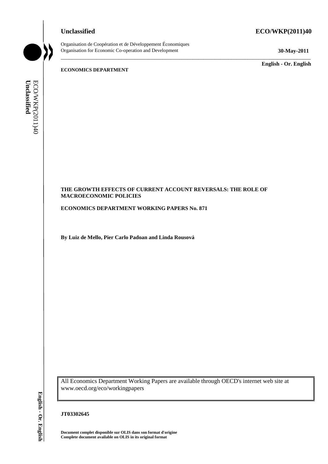#### Organisation de Coopération et de Développement Économiques Organisation for Economic Co-operation and Development **30-May-2011**

#### **Unclassified ECO/WKP(2011)40**

\_\_\_\_\_\_\_\_\_\_\_\_\_\_\_\_\_\_\_\_\_\_\_\_\_\_\_\_\_\_\_\_\_\_\_\_\_\_\_\_\_\_\_\_\_\_\_\_\_\_\_\_\_\_\_\_\_\_\_\_\_\_\_\_\_\_\_\_\_\_\_\_\_\_\_\_\_\_\_\_\_\_\_\_\_\_\_\_\_\_\_ \_\_\_\_\_\_\_\_\_\_\_\_\_ **English - Or. English**

**ECONOMICS DEPARTMENT**

#### **THE GROWTH EFFECTS OF CURRENT ACCOUNT REVERSALS: THE ROLE OF MACROECONOMIC POLICIES**

**ECONOMICS DEPARTMENT WORKING PAPERS No. 871**

**By Luiz de Mello, Pier Carlo Padoan and Linda Rousová**

All Economics Department Working Papers are available through OECD's internet web site at www.oecd.org/eco/workingpapers **COMPLETE CROWTH EFFECTS OF CURRENT AMACROECONOMIC POLICIES**<br> **CONOMICS DEPARTMENT WORKING**<br> **EVALUATE CONOMICS DEPARTMENT WORKING**<br> **EVALUATE AVAILAGE METAL FOR PROPERTION**<br> **EVALUATE CONOMICS DEPARTMENT WORKING**<br> **EVALUA** 

#### **JT03302645**

**Document complet disponible sur OLIS dans son format d'origine**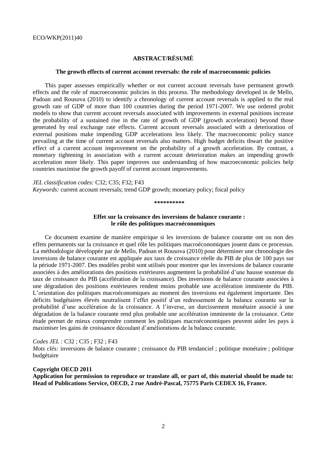### **ABSTRACT/RÉSUMÉ**

#### **The growth effects of current account reversals: the role of macroeconomic policies**

This paper assesses empirically whether or not current account reversals have permanent growth effects and the role of macroeconomic policies in this process. The methodology developed in de Mello, Padoan and Rousova (2010) to identify a chronology of current account reversals is applied to the real growth rate of GDP of more than 100 countries during the period 1971-2007. We use ordered probit models to show that current account reversals associated with improvements in external positions increase the probability of a sustained rise in the rate of growth of GDP (growth acceleration) beyond those generated by real exchange rate effects. Current account reversals associated with a deterioration of external positions make impending GDP accelerations less likely. The macroeconomic policy stance prevailing at the time of current account reversals also matters. High budget deficits thwart the positive effect of a current account improvement on the probability of a growth acceleration. By contrast, a monetary tightening in association with a current account deterioration makes an impending growth acceleration more likely. This paper improves our understanding of how macroeconomic policies help countries maximise the growth payoff of current account improvements.

*JEL classification codes:* C32; C35; F32; F43 *Keywords:* current account reversals; trend GDP growth; monetary policy; fiscal policy

**\*\*\*\*\*\*\*\*\*\***

#### **Effet sur la croissance des inversions de balance courante : le rôle des politiques macroéconomiques**

Ce document examine de manière empirique si les inversions de balance courante ont ou non des effets permanents sur la croissance et quel rôle les politiques macroéconomiques jouent dans ce processus. La méthodologie développée par de Mello, Padoan et Rousova (2010) pour déterminer une chronologie des inversions de balance courante est appliquée aux taux de croissance réelle du PIB de plus de 100 pays sur la période 1971-2007. Des modèles probit sont utilisés pour montrer que les inversions de balance courante associées à des améliorations des positions extérieures augmentent la probabilité d'une hausse soutenue du taux de croissance du PIB (accélération de la croissance). Des inversions de balance courante associées à une dégradation des positions extérieures rendent moins probable une accélération imminente du PIB. L'orientation des politiques macroéconomiques au moment des inversions est également importante. Des déficits budgétaires élevés neutralisent l'effet positif d'un redressement de la balance courante sur la probabilité d'une accélération de la croissance. A l'inverse, un durcissement monétaire associé à une dégradation de la balance courante rend plus probable une accélération imminente de la croissance. Cette étude permet de mieux comprendre comment les politiques macroéconomiques peuvent aider les pays à maximiser les gains de croissance découlant d'améliorations de la balance courante.

*Codes JEL :* C32 ; C35 ; F32 ; F43

*Mots clés:* inversions de balance courante ; croissance du PIB tendanciel ; politique monétaire ; politique budgétaire

#### **Copyright OECD 2011**

**Application for permission to reproduce or translate all, or part of, this material should be made to: Head of Publications Service, OECD, 2 rue André-Pascal, 75775 Paris CEDEX 16, France.**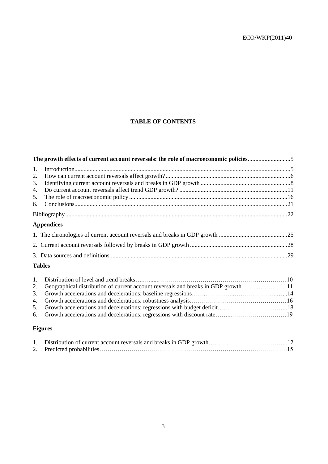# **TABLE OF CONTENTS**

|    | The growth effects of current account reversals: the role of macroeconomic policies5 |  |  |  |  |  |  |
|----|--------------------------------------------------------------------------------------|--|--|--|--|--|--|
| 1. |                                                                                      |  |  |  |  |  |  |
| 2. |                                                                                      |  |  |  |  |  |  |
| 3. |                                                                                      |  |  |  |  |  |  |
| 4. |                                                                                      |  |  |  |  |  |  |
| 5. |                                                                                      |  |  |  |  |  |  |
| 6. |                                                                                      |  |  |  |  |  |  |
|    |                                                                                      |  |  |  |  |  |  |
|    | <b>Appendices</b>                                                                    |  |  |  |  |  |  |
|    |                                                                                      |  |  |  |  |  |  |
|    |                                                                                      |  |  |  |  |  |  |
|    |                                                                                      |  |  |  |  |  |  |
|    | <b>Tables</b>                                                                        |  |  |  |  |  |  |
| 1. |                                                                                      |  |  |  |  |  |  |
| 2. | Geographical distribution of current account reversals and breaks in GDP growth11    |  |  |  |  |  |  |
| 3. |                                                                                      |  |  |  |  |  |  |
| 4. |                                                                                      |  |  |  |  |  |  |
| 5. |                                                                                      |  |  |  |  |  |  |
| 6. |                                                                                      |  |  |  |  |  |  |

## **Figures**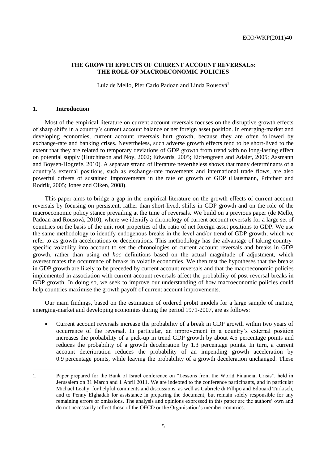#### **THE GROWTH EFFECTS OF CURRENT ACCOUNT REVERSALS: THE ROLE OF MACROECONOMIC POLICIES**

Luiz de Mello, Pier Carlo Padoan and Linda Rousová<sup>1</sup>

#### **1. Introduction**

Most of the empirical literature on current account reversals focuses on the disruptive growth effects of sharp shifts in a country's current account balance or net foreign asset position. In emerging-market and developing economies, current account reversals hurt growth, because they are often followed by exchange-rate and banking crises. Nevertheless, such adverse growth effects tend to be short-lived to the extent that they are related to temporary deviations of GDP growth from trend with no long-lasting effect on potential supply (Hutchinson and Noy, 2002; Edwards, 2005; Eichengreen and Adalet, 2005; Assmann and Boysen-Hogrefe, 2010). A separate strand of literature nevertheless shows that many determinants of a country's external positions, such as exchange-rate movements and international trade flows, are also powerful drivers of sustained improvements in the rate of growth of GDP (Hausmann, Pritchett and Rodrik, 2005; Jones and Olken, 2008).

This paper aims to bridge a gap in the empirical literature on the growth effects of current account reversals by focusing on persistent, rather than short-lived, shifts in GDP growth and on the role of the macroeconomic policy stance prevailing at the time of reversals. We build on a previous paper (de Mello, Padoan and Rousová, 2010), where we identify a chronology of current account reversals for a large set of countries on the basis of the unit root properties of the ratio of net foreign asset positions to GDP. We use the same methodology to identify endogenous breaks in the level and/or trend of GDP growth, which we refer to as growth accelerations or decelerations. This methodology has the advantage of taking countryspecific volatility into account to set the chronologies of current account reversals and breaks in GDP growth, rather than using *ad hoc* definitions based on the actual magnitude of adjustment, which overestimates the occurrence of breaks in volatile economies. We then test the hypotheses that the breaks in GDP growth are likely to be preceded by current account reversals and that the macroeconomic policies implemented in association with current account reversals affect the probability of post-reversal breaks in GDP growth. In doing so, we seek to improve our understanding of how macroeconomic policies could help countries maximise the growth payoff of current account improvements.

Our main findings, based on the estimation of ordered probit models for a large sample of mature, emerging-market and developing economies during the period 1971-2007, are as follows:

 Current account reversals increase the probability of a break in GDP growth within two years of occurrence of the reversal. In particular, an improvement in a country's external position increases the probability of a pick-up in trend GDP growth by about 4.5 percentage points and reduces the probability of a growth deceleration by 1.3 percentage points. In turn, a current account deterioration reduces the probability of an impending growth acceleration by 0.9 percentage points, while leaving the probability of a growth deceleration unchanged. These

<sup>1.</sup> Paper prepared for the Bank of Israel conference on "Lessons from the World Financial Crisis", held in Jerusalem on 31 March and 1 April 2011. We are indebted to the conference participants, and in particular Michael Leahy, for helpful comments and discussions, as well as Gabriele di Fillipo and Edouard Turkisch, and to Penny Elghadab for assistance in preparing the document, but remain solely responsible for any remaining errors or omissions. The analysis and opinions expressed in this paper are the authors' own and do not necessarily reflect those of the OECD or the Organisation's member countries.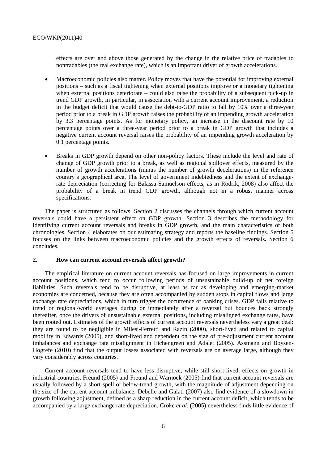effects are over and above those generated by the change in the relative price of tradables to nontradables (the real exchange rate), which is an important driver of growth accelerations.

- Macroeconomic policies also matter. Policy moves that have the potential for improving external positions – such as a fiscal tightening when external positions improve or a monetary tightening when external positions deteriorate – could also raise the probability of a subsequent pick-up in trend GDP growth. In particular, in association with a current account improvement, a reduction in the budget deficit that would cause the debt-to-GDP ratio to fall by 10% over a three-year period prior to a break in GDP growth raises the probability of an impending growth acceleration by 3.3 percentage points. As for monetary policy, an increase in the discount rate by 10 percentage points over a three-year period prior to a break in GDP growth that includes a negative current account reversal raises the probability of an impending growth acceleration by 0.1 percentage points.
- Breaks in GDP growth depend on other non-policy factors. These include the level and rate of change of GDP growth prior to a break, as well as regional spillover effects, measured by the number of growth accelerations (minus the number of growth decelerations) in the reference country's geographical area. The level of government indebtedness and the extent of exchangerate depreciation (correcting for Balassa-Samuelson effects, as in Rodrik, 2008) also affect the probability of a break in trend GDP growth, although not in a robust manner across specifications.

The paper is structured as follows. Section 2 discusses the channels through which current account reversals could have a persistent effect on GDP growth. Section 3 describes the methodology for identifying current account reversals and breaks in GDP growth, and the main characteristics of both chronologies. Section 4 elaborates on our estimating strategy and reports the baseline findings. Section 5 focuses on the links between macroeconomic policies and the growth effects of reversals. Section 6 concludes.

#### **2. How can current account reversals affect growth?**

The empirical literature on current account reversals has focused on large improvements in current account positions, which tend to occur following periods of unsustainable build-up of net foreign liabilities. Such reversals tend to be disruptive, at least as far as developing and emerging-market economies are concerned, because they are often accompanied by sudden stops in capital flows and large exchange rate depreciations, which in turn trigger the occurrence of banking crises. GDP falls relative to trend or regional/world averages during or immediately after a reversal but bounces back strongly thereafter, once the drivers of unsustainable external positions, including misaligned exchange rates, have been rooted out. Estimates of the growth effects of current account reversals nevertheless vary a great deal: they are found to be negligible in Milesi-Ferretti and Razin (2000), short-lived and related to capital mobility in Edwards (2005), and short-lived and dependent on the size of pre-adjustment current account imbalances and exchange rate misalignment in Eichengreen and Adalet (2005). Assmann and Boysen-Hogrefe (2010) find that the output losses associated with reversals are on average large, although they vary considerably across countries.

Current account reversals tend to have less disruptive, while still short-lived, effects on growth in industrial countries. Freund (2005) and Freund and Warnock (2005) find that current account reversals are usually followed by a short spell of below-trend growth, with the magnitude of adjustment depending on the size of the current account imbalance. Debelle and Galati (2007) also find evidence of a slowdown in growth following adjustment, defined as a sharp reduction in the current account deficit, which tends to be accompanied by a large exchange rate depreciation. Croke *et al*. (2005) nevertheless finds little evidence of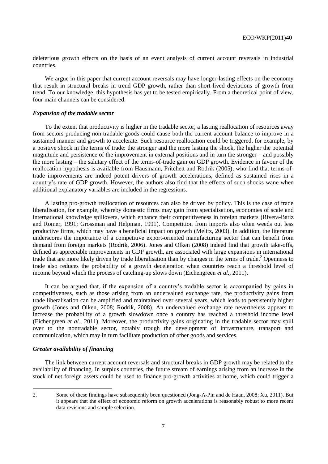deleterious growth effects on the basis of an event analysis of current account reversals in industrial countries.

We argue in this paper that current account reversals may have longer-lasting effects on the economy that result in structural breaks in trend GDP growth, rather than short-lived deviations of growth from trend. To our knowledge, this hypothesis has yet to be tested empirically. From a theoretical point of view, four main channels can be considered.

#### *Expansion of the tradable sector*

To the extent that productivity is higher in the tradable sector, a lasting reallocation of resources away from sectors producing non-tradable goods could cause both the current account balance to improve in a sustained manner and growth to accelerate. Such resource reallocation could be triggered, for example, by a positive shock in the terms of trade: the stronger and the more lasting the shock, the higher the potential magnitude and persistence of the improvement in external positions and in turn the stronger – and possibly the more lasting – the salutary effect of the terms-of-trade gain on GDP growth. Evidence in favour of the reallocation hypothesis is available from Hausmann, Pritchett and Rodrik (2005), who find that terms-oftrade improvements are indeed potent drivers of growth accelerations, defined as sustained rises in a country's rate of GDP growth. However, the authors also find that the effects of such shocks wane when additional explanatory variables are included in the regressions.

A lasting pro-growth reallocation of resources can also be driven by policy. This is the case of trade liberalisation, for example, whereby domestic firms may gain from specialisation, economies of scale and international knowledge spillovers, which enhance their competitiveness in foreign markets (Rivera-Batiz and Romer, 1991; Grossman and Helpman, 1991). Competition from imports also often weeds out less productive firms, which may have a beneficial impact on growth (Melitz, 2003). In addition, the literature underscores the importance of a competitive export-oriented manufacturing sector that can benefit from demand from foreign markets (Rodrik, 2006). Jones and Olken (2008) indeed find that growth take-offs, defined as appreciable improvements in GDP growth, are associated with large expansions in international trade that are more likely driven by trade liberalisation than by changes in the terms of trade. <sup>2</sup> Openness to trade also reduces the probability of a growth deceleration when countries reach a threshold level of income beyond which the process of catching-up slows down (Eichengreen *et al.*, 2011).

It can be argued that, if the expansion of a country's tradable sector is accompanied by gains in competitiveness, such as those arising from an undervalued exchange rate, the productivity gains from trade liberalisation can be amplified and maintained over several years, which leads to persistently higher growth (Jones and Olken, 2008; Rodrik, 2008). An undervalued exchange rate nevertheless appears to increase the probability of a growth slowdown once a country has reached a threshold income level (Eichengreen *et al.*, 2011). Moreover, the productivity gains originating in the tradable sector may spill over to the nontradable sector, notably trough the development of infrastructure, transport and communication, which may in turn facilitate production of other goods and services.

#### *Greater availability of financing*

The link between current account reversals and structural breaks in GDP growth may be related to the availability of financing. In surplus countries, the future stream of earnings arising from an increase in the stock of net foreign assets could be used to finance pro-growth activities at home, which could trigger a

<sup>2.</sup> Some of these findings have subsequently been questioned (Jong-A-Pin and de Haan, 2008; Xu, 2011). But it appears that the effect of economic reform on growth accelerations is reasonably robust to more recent data revisions and sample selection.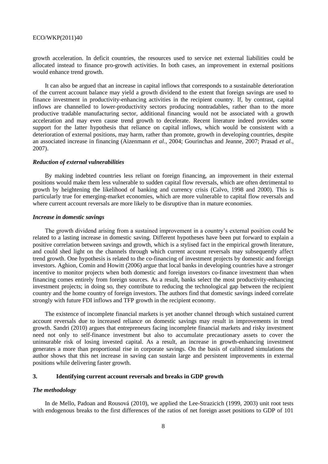growth acceleration. In deficit countries, the resources used to service net external liabilities could be allocated instead to finance pro-growth activities. In both cases, an improvement in external positions would enhance trend growth.

It can also be argued that an increase in capital inflows that corresponds to a sustainable deterioration of the current account balance may yield a growth dividend to the extent that foreign savings are used to finance investment in productivity-enhancing activities in the recipient country. If, by contrast, capital inflows are channelled to lower-productivity sectors producing nontradables, rather than to the more productive tradable manufacturing sector, additional financing would not be associated with a growth acceleration and may even cause trend growth to decelerate. Recent literature indeed provides some support for the latter hypothesis that reliance on capital inflows, which would be consistent with a deterioration of external positions, may harm, rather than promote, growth in developing countries, despite an associated increase in financing (Aizenmann *et al.*, 2004; Gourinchas and Jeanne, 2007; Prasad *et al.*, 2007).

#### *Reduction of external vulnerabilities*

By making indebted countries less reliant on foreign financing, an improvement in their external positions would make them less vulnerable to sudden capital flow reversals, which are often detrimental to growth by heightening the likelihood of banking and currency crisis (Calvo, 1998 and 2000). This is particularly true for emerging-market economies, which are more vulnerable to capital flow reversals and where current account reversals are more likely to be disruptive than in mature economies.

#### *Increase in domestic savings*

The growth dividend arising from a sustained improvement in a country's external position could be related to a lasting increase in domestic saving. Different hypotheses have been put forward to explain a positive correlation between savings and growth, which is a stylised fact in the empirical growth literature, and could shed light on the channels through which current account reversals may subsequently affect trend growth. One hypothesis is related to the co-financing of investment projects by domestic and foreign investors. Aghion, Comin and Howitt (2006) argue that local banks in developing countries have a stronger incentive to monitor projects when both domestic and foreign investors co-finance investment than when financing comes entirely from foreign sources. As a result, banks select the most productivity-enhancing investment projects; in doing so, they contribute to reducing the technological gap between the recipient country and the home country of foreign investors. The authors find that domestic savings indeed correlate strongly with future FDI inflows and TFP growth in the recipient economy.

The existence of incomplete financial markets is yet another channel through which sustained current account reversals due to increased reliance on domestic savings may result in improvements in trend growth. Sandri (2010) argues that entrepreneurs facing incomplete financial markets and risky investment need not only to self-finance investment but also to accumulate precautionary assets to cover the uninsurable risk of losing invested capital. As a result, an increase in growth-enhancing investment generates a more than proportional rise in corporate savings. On the basis of calibrated simulations the author shows that this net increase in saving can sustain large and persistent improvements in external positions while delivering faster growth.

#### **3. Identifying current account reversals and breaks in GDP growth**

#### *The methodology*

In de Mello, Padoan and Rousová (2010), we applied the Lee-Strazicich (1999, 2003) unit root tests with endogenous breaks to the first differences of the ratios of net foreign asset positions to GDP of 101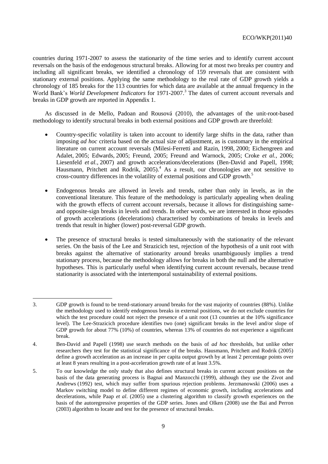countries during 1971-2007 to assess the stationarity of the time series and to identify current account reversals on the basis of the endogenous structural breaks. Allowing for at most two breaks per country and including all significant breaks, we identified a chronology of 159 reversals that are consistent with stationary external positions. Applying the same methodology to the real rate of GDP growth yields a chronology of 185 breaks for the 113 countries for which data are available at the annual frequency in the World Bank's *World Development Indicators* for 1971-2007.<sup>3</sup> The dates of current account reversals and breaks in GDP growth are reported in Appendix 1.

As discussed in de Mello, Padoan and Rousová (2010), the advantages of the unit-root-based methodology to identify structural breaks in both external positions and GDP growth are threefold:

- Country-specific volatility is taken into account to identify large shifts in the data, rather than imposing *ad hoc* criteria based on the actual size of adjustment, as is customary in the empirical literature on current account reversals (Milesi-Ferretti and Razin, 1998, 2000; Eichengreen and Adalet, 2005; Edwards, 2005; Freund, 2005; Freund and Warnock, 2005; Croke *et al.,* 2006; Liesenfeld *et al.*, 2007) and growth accelerations/decelerations (Ben-David and Papell, 1998; Hausmann, Pritchett and Rodrik, 2005).<sup>4</sup> As a result, our chronologies are not sensitive to cross-country differences in the volatility of external positions and GDP growth. 5
- Endogenous breaks are allowed in levels and trends, rather than only in levels, as in the conventional literature. This feature of the methodology is particularly appealing when dealing with the growth effects of current account reversals, because it allows for distinguishing sameand opposite-sign breaks in levels and trends. In other words, we are interested in those episodes of growth accelerations (decelerations) characterised by combinations of breaks in levels and trends that result in higher (lower) post-reversal GDP growth.
- The presence of structural breaks is tested simultaneously with the stationarity of the relevant series. On the basis of the Lee and Strazicich test, rejection of the hypothesis of a unit root with breaks against the alternative of stationarity around breaks unambiguously implies a trend stationary process, because the methodology allows for breaks in both the null and the alternative hypotheses. This is particularly useful when identifying current account reversals, because trend stationarity is associated with the intertemporal sustainability of external positions.

<sup>3.</sup> GDP growth is found to be trend-stationary around breaks for the vast majority of countries (88%). Unlike the methodology used to identify endogenous breaks in external positions, we do not exclude countries for which the test procedure could not reject the presence of a unit root (13 countries at the 10% significance level). The Lee-Strazicich procedure identifies two (one) significant breaks in the level and/or slope of GDP growth for about 77% (10%) of countries, whereas 13% of countries do not experience a significant break.

<sup>4.</sup> Ben-David and Papell (1998) use search methods on the basis of *ad hoc* thresholds, but unlike other researchers they test for the statistical significance of the breaks. Hausmann, Pritchett and Rodrik (2005) define a growth acceleration as an increase in per capita output growth by at least 2 percentage points over at least 8 years resulting in a post-acceleration growth rate of at least 3.5%.

<sup>5.</sup> To our knowledge the only study that also defines structural breaks in current account positions on the basis of the data generating process is Bagnai and Manzocchi (1999), although they use the Zivot and Andrews (1992) test, which may suffer from spurious rejection problems. Jerzmanowski (2006) uses a Markov switching model to define different regimes of economic growth, including accelerations and decelerations, while Paap *et al*. (2005) use a clustering algorithm to classify growth experiences on the basis of the autoregressive properties of the GDP series. Jones and Olken (2008) use the Bai and Perron (2003) algorithm to locate and test for the presence of structural breaks.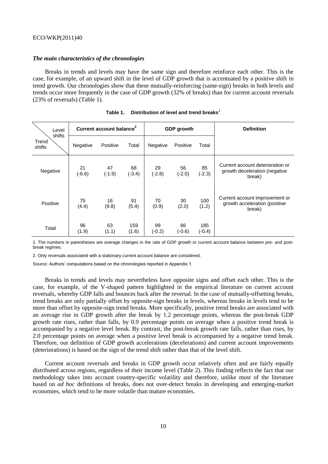#### *The main characteristics of the chronologies*

Breaks in trends and levels may have the same sign and therefore reinforce each other. This is the case, for example, of an upward shift in the level of GDP growth that is accentuated by a positive shift in trend growth. Our chronologies show that these mutually-reinforcing (same-sign) breaks in both levels and trends occur more frequently in the case of GDP growth (32% of breaks) than for current account reversals (23% of reversals) (Table 1).

| Level                     | Current account balance <sup>2</sup> |                |                |                | <b>GDP</b> growth |                 | <b>Definition</b>                                                           |
|---------------------------|--------------------------------------|----------------|----------------|----------------|-------------------|-----------------|-----------------------------------------------------------------------------|
| shifts<br>Trend<br>shifts | Negative                             | Positive       | Total          | Negative       | Positive          | Total           |                                                                             |
| Negative                  | 21<br>$(-6.6)$                       | 47<br>$(-1.9)$ | 68<br>$(-3.4)$ | 29<br>$(-2.8)$ | 56<br>$(-2.0)$    | 85<br>$(-2.3)$  | Current account deterioration or<br>growth deceleration (negative<br>break) |
| Positive                  | 75<br>(4.4)                          | 16<br>(9.8)    | 91<br>(5.4)    | 70<br>(0.9)    | 30<br>(2.0)       | 100<br>(1.2)    | Current account improvement or<br>growth acceleration (positive<br>break)   |
| Total                     | 96<br>(1.9)                          | 63<br>(1.1)    | 159<br>(1.6)   | 99<br>$(-0.2)$ | 86<br>$(-0.6)$    | 185<br>$(-0.4)$ |                                                                             |

| Table 1. | Distribution of level and trend breaks <sup>1</sup> |  |  |
|----------|-----------------------------------------------------|--|--|
|          |                                                     |  |  |

1. The numbers in parentheses are average changes in the rate of GDP growth or current account balance between pre- and postbreak regimes.

2. Only reversals associated with a stationary current account balance are considered.

Source: Authors' computations based on the chronologies reported in Appendix 1.

Breaks in trends and levels may nevertheless have opposite signs and offset each other. This is the case, for example, of the V-shaped pattern highlighted in the empirical literature on current account reversals, whereby GDP falls and bounces back after the reversal. In the case of mutually-offsetting breaks, trend breaks are only partially offset by opposite-sign breaks in levels, whereas breaks in levels tend to be more than offset by opposite-sign trend breaks. More specifically, positive trend breaks are associated with an average rise in GDP growth after the break by 1.2 percentage points, whereas the post-break GDP growth rate rises, rather than falls, by 0.9 percentage points on average when a positive trend break is accompanied by a negative level break. By contrast, the post-break growth rate falls, rather than rises, by 2.0 percentage points on average when a positive level break is accompanied by a negative trend break. Therefore, our definition of GDP growth accelerations (decelerations) and current account improvements (deteriorations) is based on the sign of the trend shift rather than that of the level shift.

Current account reversals and breaks in GDP growth occur relatively often and are fairly equally distributed across regions, regardless of their income level (Table 2). This finding reflects the fact that our methodology takes into account country-specific volatility and therefore, unlike most of the literature based on *ad hoc* definitions of breaks, does not over-detect breaks in developing and emerging-market economies, which tend to be more volatile than mature economies.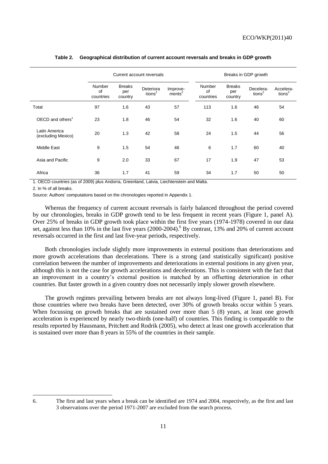|                                     | Current account reversals        |                                 |                         |                                | Breaks in GDP growth      |                                 |                                 |                                 |
|-------------------------------------|----------------------------------|---------------------------------|-------------------------|--------------------------------|---------------------------|---------------------------------|---------------------------------|---------------------------------|
|                                     | <b>Number</b><br>of<br>countries | <b>Breaks</b><br>per<br>country | Deteriora<br>-tions $2$ | Improve-<br>ments <sup>2</sup> | Number<br>of<br>countries | <b>Breaks</b><br>per<br>country | Decelera-<br>tions <sup>2</sup> | Accelera-<br>tions <sup>2</sup> |
| Total                               | 97                               | 1.6                             | 43                      | 57                             | 113                       | 1.6                             | 46                              | 54                              |
| $OECD$ and others <sup>1</sup>      | 23                               | 1.8                             | 46                      | 54                             | 32                        | 1.6                             | 40                              | 60                              |
| Latin America<br>(excluding Mexico) | 20                               | 1.3                             | 42                      | 58                             | 24                        | 1.5                             | 44                              | 56                              |
| Middle East                         | 9                                | 1.5                             | 54                      | 46                             | 6                         | 1.7                             | 60                              | 40                              |
| Asia and Pacific                    | 9                                | 2.0                             | 33                      | 67                             | 17                        | 1.9                             | 47                              | 53                              |
| Africa                              | 36                               | 1.7                             | 41                      | 59                             | 34                        | 1.7                             | 50                              | 50                              |

#### **Table 2. Geographical distribution of current account reversals and breaks in GDP growth**

1. OECD countries (as of 2009) plus Andorra, Greenland, Latvia, Liechtenstein and Malta.

2. In % of all breaks.

Source: Authors' computations based on the chronologies reported in Appendix 1.

Whereas the frequency of current account reversals is fairly balanced throughout the period covered by our chronologies, breaks in GDP growth tend to be less frequent in recent years (Figure 1, panel A). Over 25% of breaks in GDP growth took place within the first five years (1974-1978) covered in our data set, against less than 10% in the last five years (2000-2004).<sup>6</sup> By contrast, 13% and 20% of current account reversals occurred in the first and last five-year periods, respectively.

Both chronologies include slightly more improvements in external positions than deteriorations and more growth accelerations than decelerations. There is a strong (and statistically significant) positive correlation between the number of improvements and deteriorations in external positions in any given year, although this is not the case for growth accelerations and decelerations. This is consistent with the fact that an improvement in a country's external position is matched by an offsetting deterioration in other countries. But faster growth in a given country does not necessarily imply slower growth elsewhere.

The growth regimes prevailing between breaks are not always long-lived (Figure 1, panel B). For those countries where two breaks have been detected, over 30% of growth breaks occur within 5 years. When focussing on growth breaks that are sustained over more than 5 (8) years, at least one growth acceleration is experienced by nearly two-thirds (one-half) of countries. This finding is comparable to the results reported by Hausmann, Pritchett and Rodrik (2005), who detect at least one growth acceleration that is sustained over more than 8 years in 55% of the countries in their sample.

<sup>6.</sup> The first and last years when a break can be identified are 1974 and 2004, respectively, as the first and last 3 observations over the period 1971-2007 are excluded from the search process.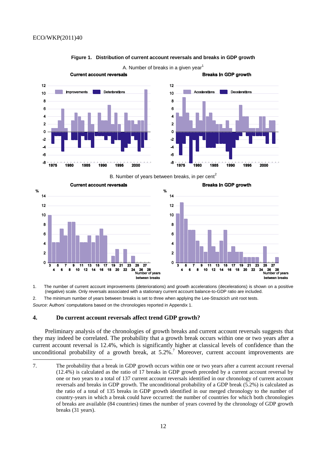

#### **Figure 1. Distribution of current account reversals and breaks in GDP growth**



B. Number of years between breaks, in per cent<sup>2</sup>



1. The number of current account improvements (deteriorations) and growth accelerations (decelerations) is shown on a positive (negative) scale. Only reversals associated with a stationary current account balance-to-GDP ratio are included.

2. The minimum number of years between breaks is set to three when applying the Lee-Strazicich unit root tests.

*Source*: Authors' computations based on the chronologies reported in Appendix 1.

#### **4. Do current account reversals affect trend GDP growth?**

Preliminary analysis of the chronologies of growth breaks and current account reversals suggests that they may indeed be correlated. The probability that a growth break occurs within one or two years after a current account reversal is 12.4%, which is significantly higher at classical levels of confidence than the unconditional probability of a growth break, at  $5.2\%$ .<sup>7</sup> Moreover, current account improvements are

<sup>7.</sup> The probability that a break in GDP growth occurs within one or two years after a current account reversal (12.4%) is calculated as the ratio of 17 breaks in GDP growth preceded by a current account reversal by one or two years to a total of 137 current account reversals identified in our chronology of current account reversals and breaks in GDP growth. The unconditional probability of a GDP break (5.2%) is calculated as the ratio of a total of 135 breaks in GDP growth identified in our merged chronology to the number of country-years in which a break could have occurred: the number of countries for which both chronologies of breaks are available (84 countries) times the number of years covered by the chronology of GDP growth breaks (31 years).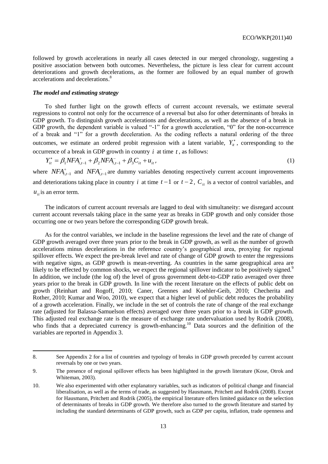followed by growth accelerations in nearly all cases detected in our merged chronology, suggesting a positive association between both outcomes. Nevertheless, the picture is less clear for current account deteriorations and growth decelerations, as the former are followed by an equal number of growth accelerations and decelerations. 8

#### *The model and estimating strategy*

To shed further light on the growth effects of current account reversals, we estimate several regressions to control not only for the occurrence of a reversal but also for other determinants of breaks in GDP growth. To distinguish growth accelerations and decelerations, as well as the absence of a break in GDP growth, the dependent variable is valued "-1" for a growth acceleration, "0" for the non-occurrence of a break and "1" for a growth deceleration. As the coding reflects a natural ordering of the three outcomes, we estimate an ordered probit regression with a latent variable,  $Y^*_{i}$ , corresponding to the occurrence of a break in GDP growth in country  $i$  at time  $t$ , as follows:

$$
Y_{it}^* = \beta_1 NFA_{i,t-1}^+ + \beta_2 NFA_{i,t-1}^- + \beta_3 C_{it} + u_{it},
$$
\n(1)

where  $NFA_{i,t-1}^+$  and  $NFA_{i,t-1}^-$  are dummy variables denoting respectively current account improvements and deteriorations taking place in country *i* at time  $t-1$  or  $t-2$ ,  $C_{it}$  is a vector of control variables, and  $u_{it}$  is an error term.

The indicators of current account reversals are lagged to deal with simultaneity: we disregard account current account reversals taking place in the same year as breaks in GDP growth and only consider those occurring one or two years before the corresponding GDP growth break.

As for the control variables, we include in the baseline regressions the level and the rate of change of GDP growth averaged over three years prior to the break in GDP growth, as well as the number of growth accelerations minus decelerations in the reference country's geographical area, proxying for regional spillover effects. We expect the pre-break level and rate of change of GDP growth to enter the regressions with negative signs, as GDP growth is mean-reverting. As countries in the same geographical area are likely to be effected by common shocks, we expect the regional spillover indicator to be positively signed.<sup>9</sup> In addition, we include (the log of) the level of gross government debt-to-GDP ratio averaged over three years prior to the break in GDP growth. In line with the recent literature on the effects of public debt on growth (Reinhart and Rogoff, 2010; Caner, Grennes and Koehler-Geib, 2010; Checherita and Rother, 2010; Kumar and Woo, 2010), we expect that a higher level of public debt reduces the probability of a growth acceleration. Finally, we include in the set of controls the rate of change of the real exchange rate (adjusted for Balassa-Samuelson effects) averaged over three years prior to a break in GDP growth. This adjusted real exchange rate is the measure of exchange rate undervaluation used by Rodrik (2008), who finds that a depreciated currency is growth-enhancing.<sup>10</sup> Data sources and the definition of the variables are reported in Appendix 3.

<sup>8.</sup> See Appendix 2 for a list of countries and typology of breaks in GDP growth preceded by current account reversals by one or two years.

<sup>9.</sup> The presence of regional spillover effects has been highlighted in the growth literature (Kose, Otrok and Whiteman, 2003).

<sup>10.</sup> We also experimented with other explanatory variables, such as indicators of political change and financial liberalisation, as well as the terms of trade, as suggested by Hausmann, Pritchett and Rodrik (2008). Except for Hausmann, Pritchett and Rodrik (2005), the empirical literature offers limited guidance on the selection of determinants of breaks in GDP growth. We therefore also turned to the growth literature and started by including the standard determinants of GDP growth, such as GDP per capita, inflation, trade openness and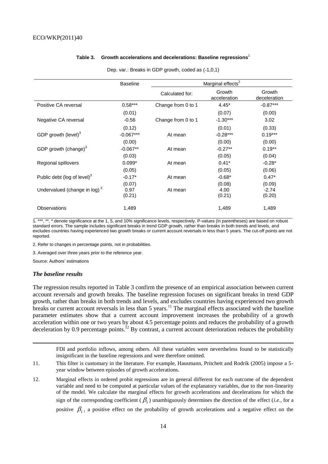#### **Table 3. Growth accelerations and decelerations: Baseline regressions<sup>1</sup>**

|                                          | <b>Baseline</b>          | Marginal effects <sup>2</sup> |                          |                             |  |  |
|------------------------------------------|--------------------------|-------------------------------|--------------------------|-----------------------------|--|--|
|                                          |                          | Calculated for:               | Growth<br>acceleration   | Growth<br>deceleration      |  |  |
| Positive CA reversal                     | $0.58***$                | Change from 0 to 1            | $4.45*$                  | $-0.87***$                  |  |  |
|                                          | (0.01)                   |                               | (0.07)                   | (0.00)                      |  |  |
| Negative CA reversal                     | $-0.56$                  | Change from 0 to 1            | $-1.30***$               | 3.02                        |  |  |
|                                          | (0.12)                   |                               | (0.01)                   | (0.33)                      |  |  |
| GDP growth (level) <sup>3</sup>          | $-0.067***$              | At mean                       | $-0.28***$               | $0.19***$                   |  |  |
|                                          | (0.00)                   |                               | (0.00)                   | (0.00)                      |  |  |
| GDP growth (change) <sup>3</sup>         | $-0.067**$               | At mean                       | $-0.27**$                | $0.19**$                    |  |  |
|                                          | (0.03)                   |                               | (0.05)                   | (0.04)                      |  |  |
| Regional spillovers                      | $0.099*$                 | At mean                       | $0.41*$                  | $-0.28*$                    |  |  |
|                                          | (0.05)                   |                               | (0.05)                   | (0.06)                      |  |  |
| Public debt (log of level) <sup>3</sup>  | $-0.17*$                 | At mean                       | $-0.68*$                 | $0.47*$                     |  |  |
| Undervalued (change in log) <sup>3</sup> | (0.07)<br>0.97<br>(0.21) | At mean                       | (0.08)<br>4.00<br>(0.21) | (0.09)<br>$-2.74$<br>(0.20) |  |  |
| <b>Observations</b>                      | 1,489                    |                               | 1,489                    | 1,489                       |  |  |

Dep. var.: Breaks in GDP growth, coded as (-1,0,1)

1. \*\*\*, \*\*, \* denote significance at the 1, 5, and 10% significance levels, respectively. P-values (in parentheses) are based on robust standard errors. The sample includes significant breaks in trend GDP growth, rather than breaks in both trends and levels, and excludes countries having experienced two growth breaks or current account reversals in less than 5 years. The cut-off points are not reported.

2. Refer to changes in percentage points, not in probabilities.

3. Averaged over three years prior to the reference year.

Source: Authors' estimations

#### *The baseline results*

 $\overline{a}$ 

The regression results reported in Table 3 confirm the presence of an empirical association between current account reversals and growth breaks. The baseline regression focuses on significant breaks in trend GDP growth, rather than breaks in both trends and levels, and excludes countries having experienced two growth breaks or current account reversals in less than 5 years.<sup>11</sup> The marginal effects associated with the baseline parameter estimates show that a current account improvement increases the probability of a growth acceleration within one or two years by about 4.5 percentage points and reduces the probability of a growth deceleration by 0.9 percentage points.<sup>12</sup> By contrast, a current account deterioration reduces the probability

FDI and portfolio inflows, among others. All these variables were nevertheless found to be statistically insignificant in the baseline regressions and were therefore omitted.

- 11. This filter is customary in the literature. For example, Hausmann, Pritchett and Rodrik (2005) impose a 5 year window between episodes of growth accelerations.
- 12. Marginal effects in ordered probit regressions are in general different for each outcome of the dependent variable and need to be computed at particular values of the explanatory variables, due to the non-linearity of the model. We calculate the marginal effects for growth accelerations and decelerations for which the sign of the corresponding coefficient  $(\beta_1)$  unambiguously determines the direction of the effect (*i.e.*, for a positive  $\beta_1$ , a positive effect on the probability of growth accelerations and a negative effect on the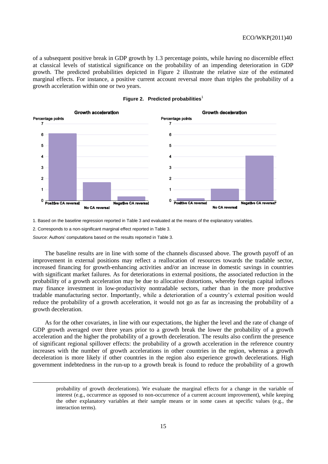of a subsequent positive break in GDP growth by 1.3 percentage points, while having no discernible effect at classical levels of statistical significance on the probability of an impending deterioration in GDP growth. The predicted probabilities depicted in Figure 2 illustrate the relative size of the estimated marginal effects. For instance, a positive current account reversal more than triples the probability of a growth acceleration within one or two years.





1. Based on the baseline regression reported in Table 3 and evaluated at the means of the explanatory variables.

2. Corresponds to a non-significant marginal effect reported in Table 3.

*Source*: Authors' computations based on the results reported in Table 3.

 $\overline{a}$ 

The baseline results are in line with some of the channels discussed above. The growth payoff of an improvement in external positions may reflect a reallocation of resources towards the tradable sector, increased financing for growth-enhancing activities and/or an increase in domestic savings in countries with significant market failures. As for deteriorations in external positions, the associated reduction in the probability of a growth acceleration may be due to allocative distortions, whereby foreign capital inflows may finance investment in low-productivity nontradable sectors, rather than in the more productive tradable manufacturing sector. Importantly, while a deterioration of a country's external position would reduce the probability of a growth acceleration, it would not go as far as increasing the probability of a growth deceleration.

As for the other covariates, in line with our expectations, the higher the level and the rate of change of GDP growth averaged over three years prior to a growth break the lower the probability of a growth acceleration and the higher the probability of a growth deceleration. The results also confirm the presence of significant regional spillover effects: the probability of a growth acceleration in the reference country increases with the number of growth accelerations in other countries in the region, whereas a growth deceleration is more likely if other countries in the region also experience growth decelerations. High government indebtedness in the run-up to a growth break is found to reduce the probability of a growth

probability of growth decelerations). We evaluate the marginal effects for a change in the variable of interest (e.g., occurrence as opposed to non-occurrence of a current account improvement), while keeping the other explanatory variables at their sample means or in some cases at specific values (e.g., the interaction terms).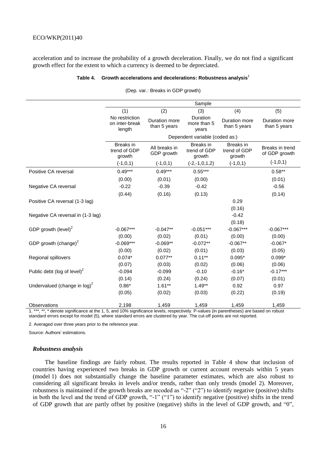acceleration and to increase the probability of a growth deceleration. Finally, we do not find a significant growth effect for the extent to which a currency is deemed to be depreciated.

#### **Table 4. Growth accelerations and decelerations: Robustness analysis**<sup>1</sup>

|                                         |                                            |                                | Sample                                     |                                     |                                  |  |  |
|-----------------------------------------|--------------------------------------------|--------------------------------|--------------------------------------------|-------------------------------------|----------------------------------|--|--|
|                                         | (1)                                        | (2)                            | (3)                                        | (4)                                 | (5)                              |  |  |
|                                         | No restriction<br>on inter-break<br>length | Duration more<br>than 5 years  | Duration<br>more than 5<br>years           | Duration more<br>than 5 years       | Duration more<br>than 5 years    |  |  |
|                                         |                                            | Dependent variable (coded as:) |                                            |                                     |                                  |  |  |
|                                         | Breaks in<br>trend of GDP<br>growth        | All breaks in<br>GDP growth    | <b>Breaks</b> in<br>trend of GDP<br>growth | Breaks in<br>trend of GDP<br>growth | Breaks in trend<br>of GDP growth |  |  |
|                                         | $(-1,0,1)$                                 | $(-1,0,1)$                     | $(-2,-1,0,1,2)$                            | $(-1,0,1)$                          | $(-1,0,1)$                       |  |  |
| Positive CA reversal                    | $0.49***$                                  | $0.49***$                      | $0.55***$                                  |                                     | $0.58**$                         |  |  |
|                                         | (0.00)                                     | (0.01)                         | (0.00)                                     |                                     | (0.01)                           |  |  |
| Negative CA reversal                    | $-0.22$                                    | $-0.39$                        | $-0.42$                                    |                                     | $-0.56$                          |  |  |
|                                         | (0.44)                                     | (0.16)                         | (0.13)                                     |                                     | (0.14)                           |  |  |
| Positive CA reversal (1-3 lag)          |                                            |                                |                                            | 0.29                                |                                  |  |  |
|                                         |                                            |                                |                                            | (0.16)                              |                                  |  |  |
| Negative CA reversal in (1-3 lag)       |                                            |                                |                                            | $-0.42$                             |                                  |  |  |
|                                         |                                            |                                |                                            | (0.18)                              |                                  |  |  |
| GDP growth (level) $2$                  | $-0.067***$                                | $-0.047**$                     | $-0.051***$                                | $-0.067***$                         | $-0.067***$                      |  |  |
|                                         | (0.00)                                     | (0.02)                         | (0.01)                                     | (0.00)                              | (0.00)                           |  |  |
| GDP growth (change) $^2$                | $-0.069***$                                | $-0.069**$                     | $-0.072**$                                 | $-0.067**$                          | $-0.067*$                        |  |  |
|                                         | (0.00)                                     | (0.02)                         | (0.01)                                     | (0.03)                              | (0.05)                           |  |  |
| Regional spillovers                     | $0.074*$                                   | $0.077**$                      | $0.11***$                                  | $0.095*$                            | $0.099*$                         |  |  |
|                                         | (0.07)                                     | (0.03)                         | (0.02)                                     | (0.06)                              | (0.06)                           |  |  |
| Public debt (log of level) <sup>2</sup> | $-0.094$                                   | $-0.099$                       | $-0.10$                                    | $-0.16*$                            | $-0.17***$                       |  |  |
|                                         | (0.14)                                     | (0.24)                         | (0.24)                                     | (0.07)                              | (0.01)                           |  |  |
| Undervalued (change in $log)^2$         | $0.86*$                                    | $1.61***$                      | $1.49**$                                   | 0.92                                | 0.97                             |  |  |
|                                         | (0.05)                                     | (0.02)                         | (0.03)                                     | (0.22)                              | (0.19)                           |  |  |
| Observations                            | 2,198                                      | 1,459                          | 1,459                                      | 1,459                               | 1,459                            |  |  |

(Dep. var.: Breaks in GDP growth)

1. \*\*\*, \*\*, \* denote significance at the 1, 5, and 10% significance levels, respectively. P-values (in parentheses) are based on robust standard errors except for model (5), where standard errors are clustered by year. The cut-off points are not reported.

2. Averaged over three years prior to the reference year.

Source: Authors' estimations.

#### *Robustness analysis*

The baseline findings are fairly robust. The results reported in Table 4 show that inclusion of countries having experienced two breaks in GDP growth or current account reversals within 5 years (model 1) does not substantially change the baseline parameter estimates, which are also robust to considering all significant breaks in levels and/or trends, rather than only trends (model 2). Moreover, robustness is maintained if the growth breaks are recoded as "-2" ("2") to identify negative (positive) shifts in both the level and the trend of GDP growth, "-1" ("1") to identify negative (positive) shifts in the trend of GDP growth that are partly offset by positive (negative) shifts in the level of GDP growth, and "0",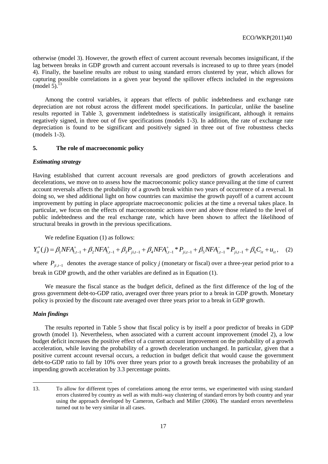otherwise (model 3). However, the growth effect of current account reversals becomes insignificant, if the lag between breaks in GDP growth and current account reversals is increased to up to three years (model 4). Finally, the baseline results are robust to using standard errors clustered by year, which allows for capturing possible correlations in a given year beyond the spillover effects included in the regressions  $(model 5).$ <sup>13</sup>

Among the control variables, it appears that effects of public indebtedness and exchange rate depreciation are not robust across the different model specifications. In particular, unlike the baseline results reported in Table 3, government indebtedness is statistically insignificant, although it remains negatively signed, in three out of five specifications (models 1-3). In addition, the rate of exchange rate depreciation is found to be significant and positively signed in three out of five robustness checks (models 1-3).

#### **5. The role of macroeconomic policy**

#### *Estimating strategy*

Having established that current account reversals are good predictors of growth accelerations and decelerations, we move on to assess how the macroeconomic policy stance prevailing at the time of current account reversals affects the probability of a growth break within two years of occurrence of a reversal. In doing so, we shed additional light on how countries can maximise the growth payoff of a current account improvement by putting in place appropriate macroeconomic policies at the time a reversal takes place. In particular, we focus on the effects of macroeconomic actions over and above those related to the level of public indebtedness and the real exchange rate, which have been shown to affect the likelihood of structural breaks in growth in the previous specifications.

We redefine Equation (1) as follows:

We redefine Equation (1) as follows:  
\n
$$
Y_{it}^{*}(j) = \beta_{1}NFA_{i,t-1}^{+} + \beta_{2}NFA_{i,t-1}^{+} + \beta_{3}P_{ji,t-1} + \beta_{4}NFA_{i,t-1}^{+} * P_{ji,t-1} + \beta_{5}NFA_{i,t-1}^{-} * P_{ji,t-1} + \beta_{6}C_{it} + u_{it},
$$
\n(2)

where  $P_{ji,t-1}$  denotes the average stance of policy *j* (monetary or fiscal) over a three-year period prior to a break in GDP growth, and the other variables are defined as in Equation (1).

We measure the fiscal stance as the budget deficit, defined as the first difference of the log of the gross government debt-to-GDP ratio, averaged over three years prior to a break in GDP growth. Monetary policy is proxied by the discount rate averaged over three years prior to a break in GDP growth.

#### *Main findings*

 $\overline{a}$ 

The results reported in Table 5 show that fiscal policy is by itself a poor predictor of breaks in GDP growth (model 1). Nevertheless, when associated with a current account improvement (model 2), a low budget deficit increases the positive effect of a current account improvement on the probability of a growth acceleration, while leaving the probability of a growth deceleration unchanged. In particular, given that a positive current account reversal occurs, a reduction in budget deficit that would cause the government debt-to-GDP ratio to fall by 10% over three years prior to a growth break increases the probability of an impending growth acceleration by 3.3 percentage points.

<sup>13.</sup> To allow for different types of correlations among the error terms, we experimented with using standard errors clustered by country as well as with multi-way clustering of standard errors by both country and year using the approach developed by Cameron, Gelbach and Miller (2006). The standard errors nevertheless turned out to be very similar in all cases.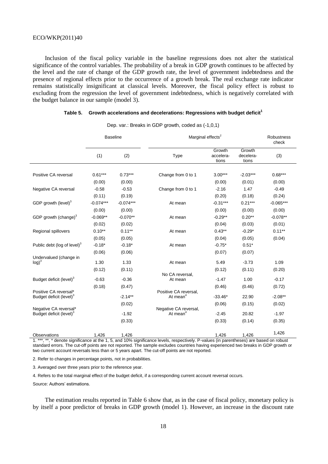Inclusion of the fiscal policy variable in the baseline regressions does not alter the statistical significance of the control variables. The probability of a break in GDP growth continues to be affected by the level and the rate of change of the GDP growth rate, the level of government indebtedness and the presence of regional effects prior to the occurrence of a growth break. The real exchange rate indicator remains statistically insignificant at classical levels. Moreover, the fiscal policy effect is robust to excluding from the regression the level of government indebtedness, which is negatively correlated with the budget balance in our sample (model 3).

|  | Table 5. Growth accelerations and decelerations: Regressions with budget deficit <sup>1</sup> |  |
|--|-----------------------------------------------------------------------------------------------|--|
|--|-----------------------------------------------------------------------------------------------|--|

|                                         | <b>Baseline</b> |             | Marginal effects <sup>2</sup> | Robustness<br>check          |                              |             |
|-----------------------------------------|-----------------|-------------|-------------------------------|------------------------------|------------------------------|-------------|
|                                         | (1)             | (2)         | Type                          | Growth<br>accelera-<br>tions | Growth<br>decelera-<br>tions | (3)         |
| Positive CA reversal                    | $0.61***$       | $0.73***$   | Change from 0 to 1            | $3.00***$                    | $-2.03***$                   | $0.68***$   |
|                                         | (0.00)          | (0.00)      |                               | (0.00)                       | (0.01)                       | (0.00)      |
| Negative CA reversal                    | $-0.58$         | $-0.53$     | Change from 0 to 1            | $-2.16$                      | 1.47                         | $-0.49$     |
|                                         | (0.11)          | (0.19)      |                               | (0.20)                       | (0.18)                       | (0.24)      |
| GDP growth (level) <sup>3</sup>         | $-0.074***$     | $-0.074***$ | At mean                       | $-0.31***$                   | $0.21***$                    | $-0.065***$ |
|                                         | (0.00)          | (0.00)      |                               | (0.00)                       | (0.00)                       | (0.00)      |
| GDP growth (change) <sup>3</sup>        | $-0.069**$      | $-0.070**$  | At mean                       | $-0.29**$                    | $0.20**$                     | $-0.078**$  |
|                                         | (0.02)          | (0.02)      |                               | (0.04)                       | (0.03)                       | (0.01)      |
| Regional spillovers                     | $0.10**$        | $0.11***$   | At mean                       | $0.43**$                     | $-0.29*$                     | $0.11***$   |
|                                         | (0.05)          | (0.05)      |                               | (0.04)                       | (0.05)                       | (0.04)      |
| Public debt (log of level) <sup>3</sup> | $-0.18*$        | $-0.18*$    | At mean                       | $-0.75*$                     | $0.51*$                      |             |
|                                         | (0.06)          | (0.06)      |                               | (0.07)                       | (0.07)                       |             |
| Undervalued (change in<br>$log)^3$      | 1.30            | 1.33        | At mean                       | 5.49                         | $-3.73$                      | 1.09        |
|                                         |                 |             |                               |                              |                              |             |
|                                         | (0.12)          | (0.11)      | No CA reversal,               | (0.12)                       | (0.11)                       | (0.20)      |
| Budget deficit (level) <sup>3</sup>     | $-0.63$         | $-0.36$     | At mean                       | $-1.47$                      | 1.00                         | $-0.17$     |
|                                         | (0.18)          | (0.47)      |                               | (0.46)                       | (0.46)                       | (0.72)      |
| Positive CA reversal*                   |                 |             | Positive CA reversal,         |                              |                              |             |
| Budget deficit (level) <sup>3</sup>     |                 | $-2.14***$  | At mean <sup>4</sup>          | $-33.46*$                    | 22.90                        | $-2.08**$   |
| Negative CA reversal*                   |                 | (0.02)      | Negative CA reversal,         | (0.06)                       | (0.15)                       | (0.02)      |
| Budget deficit (level) <sup>3</sup>     |                 | $-1.92$     | At mean $4$                   | $-2.45$                      | 20.82                        | $-1.97$     |
|                                         |                 | (0.33)      |                               | (0.33)                       | (0.14)                       | (0.35)      |
| <b>Observations</b>                     | 1,426           | 1,426       |                               | 1,426                        | 1,426                        | 1,426       |

Dep. var.: Breaks in GDP growth, coded as (-1,0,1)

1. \*\*\*, \*\*, \* denote significance at the 1, 5, and 10% significance levels, respectively. P-values (in parentheses) are based on robust standard errors. The cut-off points are not reported. The sample excludes countries having experienced two breaks in GDP growth or two current account reversals less than or 5 years apart. The cut-off points are not reported.

2. Refer to changes in percentage points, not in probabilities.

3. Averaged over three years prior to the reference year.

4. Refers to the total marginal effect of the budget deficit, if a corresponding current account reversal occurs.

Source: Authors' estimations.

The estimation results reported in Table 6 show that, as in the case of fiscal policy, monetary policy is by itself a poor predictor of breaks in GDP growth (model 1). However, an increase in the discount rate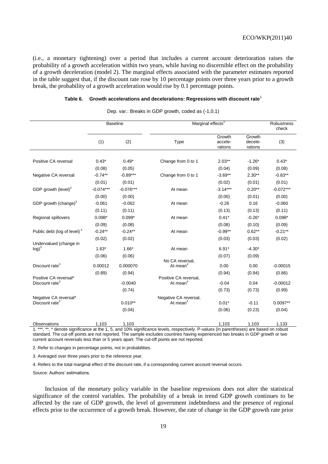0.00 0.00 -0.00015

-0.04 0.04 -0.00012

 $0.01^*$  -0.11 0.0097\*\*

(i.e., a monetary tightening) over a period that includes a current account deterioration raises the probability of a growth acceleration within two years, while having no discernible effect on the probability of a growth deceleration (model 2). The marginal effects associated with the parameter estimates reported in the table suggest that, if the discount rate rose by 10 percentage points over three years prior to a growth break, the probability of a growth acceleration would rise by 0.1 percentage points.

|  | Table 6. Growth accelerations and decelerations: Regressions with discount rate <sup>1</sup> |
|--|----------------------------------------------------------------------------------------------|
|--|----------------------------------------------------------------------------------------------|

|                                         | <b>Baseline</b> |             | Marginal effects <sup>2</sup> | Robustness<br>check          |                              |             |
|-----------------------------------------|-----------------|-------------|-------------------------------|------------------------------|------------------------------|-------------|
|                                         | (1)             | (2)         | Type                          | Growth<br>accele-<br>rations | Growth<br>decele-<br>rations | (3)         |
| Positive CA reversal                    | $0.43*$         | $0.49*$     | Change from 0 to 1            | $2.03**$                     | $-1.26*$                     | $0.43*$     |
|                                         | (0.08)          | (0.05)      |                               | (0.04)                       | (0.09)                       | (0.08)      |
| Negative CA reversal                    | $-0.74**$       | $-0.89***$  | Change from 0 to 1            | $-3.69**$                    | $2.30**$                     | $-0.83**$   |
|                                         | (0.01)          | (0.01)      |                               | (0.02)                       | (0.01)                       | (0.01)      |
| GDP growth (level) <sup>3</sup>         | $-0.074***$     | $-0.076***$ | At mean                       | $-3.14***$                   | $0.20**$                     | $-0.072***$ |
|                                         | (0.00)          | (0.00)      |                               | (0.00)                       | (0.01)                       | (0.00)      |
| GDP growth (change) <sup>3</sup>        | $-0.061$        | $-0.062$    | At mean                       | $-0.26$                      | 0.16                         | $-0.060$    |
|                                         | (0.11)          | (0.11)      |                               | (0.13)                       | (0.13)                       | (0.11)      |
| Regional spillovers                     | $0.098*$        | $0.099*$    | At mean                       | $0.41*$                      | $-0.26*$                     | $0.098*$    |
|                                         | (0.09)          | (0.08)      |                               | (0.08)                       | (0.10)                       | (0.09)      |
| Public debt (log of level) <sup>3</sup> | $-0.24**$       | $-0.24**$   | At mean                       | $-0.99**$                    | $0.62**$                     | $-0.21**$   |
|                                         | (0.02)          | (0.02)      |                               | (0.03)                       | (0.03)                       | (0.02)      |

 $1.63^*$   $1.66^*$  At mean  $6.91^*$   $-4.30^*$ (0.06) (0.06) (0.07) (0.09)

> No CA reversal, At mean $4$

Positive CA reversal, At mean<sup>4</sup>

Negative CA reversal, At mean<sup>4</sup>

 $(0.89)$   $(0.94)$   $(0.86)$ 

 $(0.74)$  (0.73)  $(0.73)$  (0.73)  $(0.99)$ 

 $(0.04)$  (0.04) (0.06) (0.23) (0.04)

Dep. var.: Breaks in GDP growth, coded as (-1,0,1)

Observations 1,103 1,103 1,103 1,103 1,133 1. \*\*\*, \*\*, \* denote significance at the 1, 5, and 10% significance levels, respectively. P-values (in parentheses) are based on robust standard. The cut-off points are not reported. The sample excludes countries having experienced two breaks in GDP growth or two current account reversals less than or 5 years apart. The cut-off points are not reported.

2. Refer to changes in percentage points, not in probabilities.

0.00012 0.000070

-0.0040

0.010\*\*

3. Averaged over three years prior to the reference year.

4. Refers to the total marginal effect of the discount rate, if a corresponding current account reversal occurs.

Source: Authors' estimations.

 $log)^3$ 

Discount rate<sup>3</sup>

Positive CA reversal\* Discount rate<sup>3</sup>

Negative CA reversal<sup>\*</sup> Discount rate<sup>3</sup>

Undervalued (change in

Inclusion of the monetary policy variable in the baseline regressions does not alter the statistical significance of the control variables. The probability of a break in trend GDP growth continues to be affected by the rate of GDP growth, the level of government indebtedness and the presence of regional effects prior to the occurrence of a growth break. However, the rate of change in the GDP growth rate prior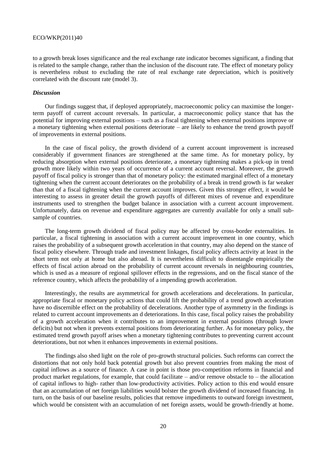to a growth break loses significance and the real exchange rate indicator becomes significant, a finding that is related to the sample change, rather than the inclusion of the discount rate. The effect of monetary policy is nevertheless robust to excluding the rate of real exchange rate depreciation, which is positively correlated with the discount rate (model 3).

#### *Discussion*

Our findings suggest that, if deployed appropriately, macroeconomic policy can maximise the longerterm payoff of current account reversals. In particular, a macroeconomic policy stance that has the potential for improving external positions – such as a fiscal tightening when external positions improve or a monetary tightening when external positions deteriorate – are likely to enhance the trend growth payoff of improvements in external positions.

In the case of fiscal policy, the growth dividend of a current account improvement is increased considerably if government finances are strengthened at the same time. As for monetary policy, by reducing absorption when external positions deteriorate, a monetary tightening makes a pick-up in trend growth more likely within two years of occurrence of a current account reversal. Moreover, the growth payoff of fiscal policy is stronger than that of monetary policy: the estimated marginal effect of a monetary tightening when the current account deteriorates on the probability of a break in trend growth is far weaker than that of a fiscal tightening when the current account improves. Given this stronger effect, it would be interesting to assess in greater detail the growth payoffs of different mixes of revenue and expenditure instruments used to strengthen the budget balance in association with a current account improvement. Unfortunately, data on revenue and expenditure aggregates are currently available for only a small subsample of countries.

The long-term growth dividend of fiscal policy may be affected by cross-border externalities. In particular, a fiscal tightening in association with a current account improvement in one country, which raises the probability of a subsequent growth acceleration in that country, may also depend on the stance of fiscal policy elsewhere. Through trade and investment linkages, fiscal policy affects activity at least in the short term not only at home but also abroad. It is nevertheless difficult to disentangle empirically the effects of fiscal action abroad on the probability of current account reversals in neighbouring countries, which is used as a measure of regional spillover effects in the regressions, and on the fiscal stance of the reference country, which affects the probability of a impending growth acceleration.

Interestingly, the results are asymmetrical for growth accelerations and decelerations. In particular, appropriate fiscal or monetary policy actions that could lift the probability of a trend growth acceleration have no discernible effect on the probability of decelerations. Another type of asymmetry in the findings is related to current account improvements an d deteriorations. In this case, fiscal policy raises the probability of a growth acceleration when it contributes to an improvement in external positions (through lower deficits) but not when it prevents external positions from deteriorating further. As for monetary policy, the estimated trend growth payoff arises when a monetary tightening contributes to preventing current account deteriorations, but not when it enhances improvements in external positions.

The findings also shed light on the role of pro-growth structural policies. Such reforms can correct the distortions that not only hold back potential growth but also prevent countries from making the most of capital inflows as a source of finance. A case in point is those pro-competition reforms in financial and product market regulations, for example, that could facilitate – and/or remove obstacle to – the allocation of capital inflows to high- rather than low-productivity activities. Policy action to this end would ensure that an accumulation of net foreign liabilities would bolster the growth dividend of increased financing. In turn, on the basis of our baseline results, policies that remove impediments to outward foreign investment, which would be consistent with an accumulation of net foreign assets, would be growth-friendly at home.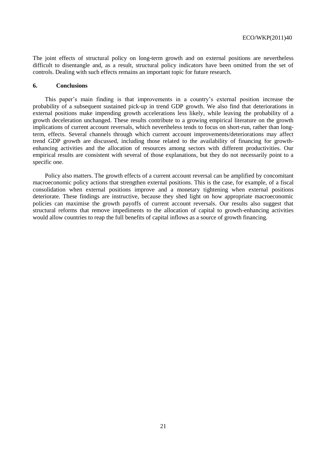The joint effects of structural policy on long-term growth and on external positions are nevertheless difficult to disentangle and, as a result, structural policy indicators have been omitted from the set of controls. Dealing with such effects remains an important topic for future research.

#### **6. Conclusions**

This paper's main finding is that improvements in a country's external position increase the probability of a subsequent sustained pick-up in trend GDP growth. We also find that deteriorations in external positions make impending growth accelerations less likely, while leaving the probability of a growth deceleration unchanged. These results contribute to a growing empirical literature on the growth implications of current account reversals, which nevertheless tends to focus on short-run, rather than longterm, effects. Several channels through which current account improvements/deteriorations may affect trend GDP growth are discussed, including those related to the availability of financing for growthenhancing activities and the allocation of resources among sectors with different productivities. Our empirical results are consistent with several of those explanations, but they do not necessarily point to a specific one.

Policy also matters. The growth effects of a current account reversal can be amplified by concomitant macroeconomic policy actions that strengthen external positions. This is the case, for example, of a fiscal consolidation when external positions improve and a monetary tightening when external positions deteriorate. These findings are instructive, because they shed light on how appropriate macroeconomic policies can maximise the growth payoffs of current account reversals. Our results also suggest that structural reforms that remove impediments to the allocation of capital to growth-enhancing activities would allow countries to reap the full benefits of capital inflows as a source of growth financing.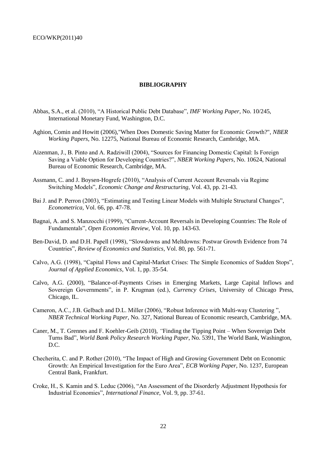#### **BIBLIOGRAPHY**

- Abbas, S.A., et al. (2010), "A Historical Public Debt Database", *IMF Working Paper*, No. 10/245, International Monetary Fund, Washington, D.C.
- Aghion, Comin and Howitt (2006),"When Does Domestic Saving Matter for Economic Growth?", *NBER Working Papers*, No. 12275, National Bureau of Economic Research, Cambridge, MA.
- Aizenman, J., B. Pinto and A. Radziwill (2004), "Sources for Financing Domestic Capital: Is Foreign Saving a Viable Option for Developing Countries?", *NBER Working Papers*, No. 10624, National Bureau of Economic Research, Cambridge, MA.
- Assmann, C. and J. Boysen-Hogrefe (2010), "Analysis of Current Account Reversals via Regime Switching Models", *Economic Change and Restructuring*, Vol. 43, pp. 21-43.
- Bai J. and P. Perron (2003), "Estimating and Testing Linear Models with Multiple Structural Changes", *Econometrica*, Vol. 66, pp. 47-78.
- Bagnai, A. and S. Manzocchi (1999), "Current-Account Reversals in Developing Countries: The Role of Fundamentals", *Open Economies Review*, Vol. 10, pp. 143-63.
- Ben-David, D. and D.H. Papell (1998), "Slowdowns and Meltdowns: Postwar Growth Evidence from 74 Countries", *Review of Economics and Statistics*, Vol. 80, pp. 561-71.
- Calvo, A.G. (1998), "Capital Flows and Capital-Market Crises: The Simple Economics of Sudden Stops", *Journal of Applied Economics*, Vol. 1, pp. 35-54.
- Calvo, A.G. (2000), "Balance-of-Payments Crises in Emerging Markets, Large Capital Inflows and Sovereign Governments", in P. Krugman (ed.), *Currency Crises*, University of Chicago Press, Chicago, IL.
- Cameron, A.C., J.B. Gelbach and D.L. Miller (2006), "Robust Inference with Multi-way Clustering ", *NBER Technical Working Paper*, No. 327, National Bureau of Economic research, Cambridge, MA.
- Caner, M., T. Grennes and F. Koehler-Geib (2010), *"*Finding the Tipping Point When Sovereign Debt Turns Bad", *World Bank Policy Research Working Paper*, No. 5391, The World Bank, Washington, D.C.
- Checherita, C. and P. Rother (2010), "The Impact of High and Growing Government Debt on Economic Growth: An Empirical Investigation for the Euro Area", *ECB Working Paper*, No. 1237, European Central Bank, Frankfurt.
- Croke, H., S. Kamin and S. Leduc (2006), "An Assessment of the Disorderly Adjustment Hypothesis for Industrial Economies", *International Finance*, Vol. 9, pp. 37-61.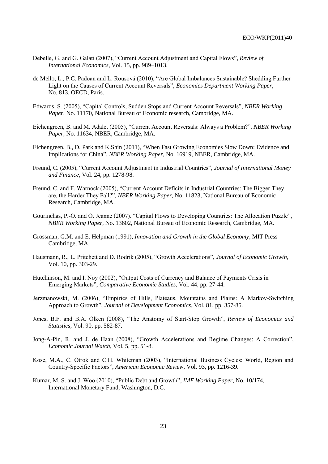- Debelle, G. and G. Galati (2007), "Current Account Adjustment and Capital Flows", *Review of International Economics*, Vol. 15, pp. 989–1013.
- de Mello, L., P.C. Padoan and L. Rousová (2010), "Are Global Imbalances Sustainable? Shedding Further Light on the Causes of Current Account Reversals", *Economics Department Working Paper*, No. 813, OECD, Paris.
- Edwards, S. (2005), "Capital Controls, Sudden Stops and Current Account Reversals", *NBER Working Paper*, No. 11170, National Bureau of Economic research, Cambridge, MA.
- Eichengreen, B. and M. Adalet (2005), "Current Account Reversals: Always a Problem?", *NBER Working Paper*, No. 11634, NBER, Cambridge, MA.
- Eichengreen, B., D. Park and K.Shin (2011), "When Fast Growing Economies Slow Down: Evidence and Implications for China", *NBER Working Paper*, No. 16919, NBER, Cambridge, MA.
- Freund, C. (2005), "Current Account Adjustment in Industrial Countries", *Journal of International Money and Finance*, Vol. 24, pp. 1278-98.
- Freund, C. and F. Warnock (2005), "Current Account Deficits in Industrial Countries: The Bigger They are, the Harder They Fall?", *NBER Working Paper*, No. 11823, National Bureau of Economic Research, Cambridge, MA.
- Gourinchas, P.-O. and O. Jeanne (2007). "Capital Flows to Developing Countries: The Allocation Puzzle", *NBER Working Paper*, No. 13602, National Bureau of Economic Research, Cambridge, MA.
- Grossman, G.M. and E. Helpman (1991), *Innovation and Growth in the Global Economy*, MIT Press Cambridge, MA.
- Hausmann, R., L. Pritchett and D. Rodrik (2005), "Growth Accelerations", *Journal of Economic Growth*, Vol. 10, pp. 303-29.
- Hutchinson, M. and I. Noy (2002), "Output Costs of Currency and Balance of Payments Crisis in Emerging Markets", *Comparative Economic Studies*, Vol. 44, pp. 27-44.
- Jerzmanowski, M. (2006), "Empirics of Hills, Plateaus, Mountains and Plains: A Markov-Switching Approach to Growth", *Journal of Development Economics*, Vol. 81, pp. 357-85.
- Jones, B.F. and B.A. Olken (2008), "The Anatomy of Start-Stop Growth", *Review of Economics and Statistics*, Vol. 90, pp. 582-87.
- Jong-A-Pin, R. and J. de Haan (2008), "Growth Accelerations and Regime Changes: A Correction", *Economic Journal Watch*, Vol. 5, pp. 51-8.
- Kose, M.A., C. Otrok and C.H. Whiteman (2003), "International Business Cycles: World, Region and Country-Specific Factors", *American Economic Review*, Vol. 93, pp. 1216-39.
- Kumar, M. S. and J. Woo (2010), "Public Debt and Growth", *IMF Working Paper*, No. 10/174, International Monetary Fund, Washington, D.C.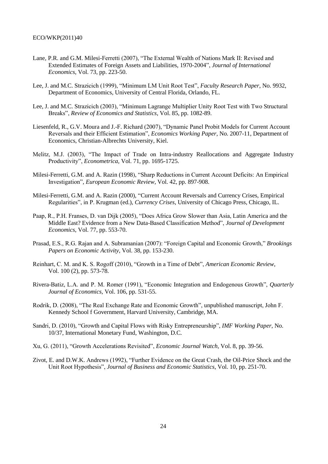- Lane, P.R. and G.M. Milesi-Ferretti (2007), "The External Wealth of Nations Mark II: Revised and Extended Estimates of Foreign Assets and Liabilities, 1970-2004", *Journal of International Economics*, Vol. 73, pp. 223-50.
- Lee, J. and M.C. Strazicich (1999), "Minimum LM Unit Root Test", *Faculty Research Paper*, No. 9932, Department of Economics, University of Central Florida, Orlando, FL.
- Lee, J. and M.C. Strazicich (2003), "Minimum Lagrange Multiplier Unity Root Test with Two Structural Breaks", *Review of Economics and Statistics*, Vol. 85, pp. 1082-89.
- Liesenfeld, R., G.V. Moura and J.-F. Richard (2007), "Dynamic Panel Probit Models for Current Account Reversals and their Efficient Estimation", *Economics Working Paper*, No. 2007-11, Department of Economics, Christian-Albrechts University, Kiel.
- Melitz, M.J. (2003), "The Impact of Trade on Intra-industry Reallocations and Aggregate Industry Productivity", *Econometrica*, Vol. 71, pp. 1695-1725.
- Milesi-Ferretti, G.M. and A. Razin (1998), "Sharp Reductions in Current Account Deficits: An Empirical Investigation", *European Economic Review*, Vol. 42, pp. 897-908.
- Milesi-Ferretti, G.M. and A. Razin (2000), "Current Account Reversals and Currency Crises, Empirical Regularities", in P. Krugman (ed.), *Currency Crises*, University of Chicago Press, Chicago, IL.
- Paap, R., P.H. Franses, D. van Dijk (2005), "Does Africa Grow Slower than Asia, Latin America and the Middle East? Evidence from a New Data-Based Classification Method", *Journal of Development Economics*, Vol. 77, pp. 553-70.
- Prasad, E.S., R.G. Rajan and A. Subramanian (2007): "Foreign Capital and Economic Growth," *Brookings Papers on Economic Activity*, Vol. 38, pp. 153-230.
- Reinhart, C. M. and K. S. Rogoff (2010), "Growth in a Time of Debt", *American Economic Review*, Vol. 100 (2), pp. 573-78.
- Rivera-Batiz, L.A. and P. M. Romer (1991), "Economic Integration and Endogenous Growth", *Quarterly Journal of Economics,* Vol. 106, pp. 531-55.
- Rodrik, D. (2008), "The Real Exchange Rate and Economic Growth", unpublished manuscript, John F. Kennedy School f Government, Harvard University, Cambridge, MA.
- Sandri, D. (2010), "Growth and Capital Flows with Risky Entrepreneurship", *IMF Working Paper*, No. 10/37, International Monetary Fund, Washington, D.C.
- Xu, G. (2011), "Growth Accelerations Revisited", *Economic Journal Watch*, Vol. 8, pp. 39-56.
- Zivot, E. and D.W.K. Andrews (1992), "Further Evidence on the Great Crash, the Oil-Price Shock and the Unit Root Hypothesis", *Journal of Business and Economic Statistics*, Vol. 10, pp. 251-70.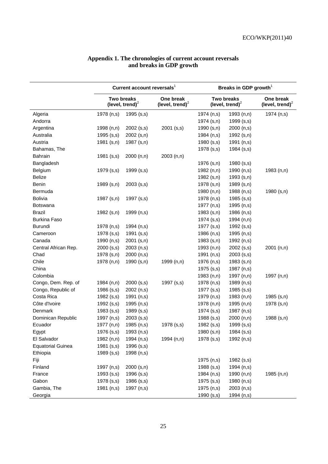|                          | Current account reversals <sup>1</sup>  |              |                                 | Breaks in GDP growth <sup>1</sup>       |              |                                 |  |
|--------------------------|-----------------------------------------|--------------|---------------------------------|-----------------------------------------|--------------|---------------------------------|--|
|                          | <b>Two breaks</b><br>(level, trend) $2$ |              | One break<br>(level, trend) $2$ | <b>Two breaks</b><br>(level, trend) $2$ |              | One break<br>(level, trend) $2$ |  |
| Algeria                  | 1978 (n,s)                              | 1995 (s,s)   |                                 | 1974 (n,s)                              | 1993 (n,n)   | 1974 (n,s)                      |  |
| Andorra                  |                                         |              |                                 | 1974 (s,n)                              | 1999 (s,s)   |                                 |  |
| Argentina                | 1998 (n,n)                              | $2002$ (s,s) | 2001 (s,s)                      | 1990 (s,n)                              | 2000 (n,s)   |                                 |  |
| Australia                | 1995 (s,s)                              | 2002 (s,n)   |                                 | 1984 (n,s)                              | 1992 (s,n)   |                                 |  |
| Austria                  | 1981 (s,n)                              | 1987 (s,n)   |                                 | 1980 (s,s)                              | 1991 (n,s)   |                                 |  |
| Bahamas, The             |                                         |              |                                 | 1978 (s,s)                              | 1984 (s,s)   |                                 |  |
| Bahrain                  | 1981 (s,s)                              | 2000 (n,n)   | 2003(n,n)                       |                                         |              |                                 |  |
| Bangladesh               |                                         |              |                                 | 1976 (s,n)                              | 1980 (s,s)   |                                 |  |
| Belgium                  | 1979 (s,s)                              | 1999 (s,s)   |                                 | 1982 (n,n)                              | 1990 (n,s)   | 1983 (n,n)                      |  |
| <b>Belize</b>            |                                         |              |                                 | 1982 (s,n)                              | 1993 (s,n)   |                                 |  |
| Benin                    | 1989 (s,n)                              | $2003$ (s,s) |                                 | 1978 (s,n)                              | 1989 (s,n)   |                                 |  |
| Bermuda                  |                                         |              |                                 | 1980 (n,n)                              | 1988 (n,s)   | 1980 (s,n)                      |  |
| <b>Bolivia</b>           | 1987 (s,n)                              | 1997 (s,s)   |                                 | 1978 (n,s)                              | 1985 (s,s)   |                                 |  |
| <b>Botswana</b>          |                                         |              |                                 | 1977 (n,s)                              | 1995 (n,s)   |                                 |  |
| <b>Brazil</b>            | 1982 (s,n)                              | 1999 (n,s)   |                                 | 1983(s,n)                               | 1986 (n,s)   |                                 |  |
| <b>Burkina Faso</b>      |                                         |              |                                 | 1974 (s,s)                              | 1994 (n,n)   |                                 |  |
| Burundi                  | 1978 (n,s)                              | 1994 (n,s)   |                                 | 1977 (s,s)                              | 1992 (s,s)   |                                 |  |
| Cameroon                 | 1978 (s,s)                              | 1991 (s,s)   |                                 | 1986 (n,s)                              | 1995 (n,s)   |                                 |  |
| Canada                   | 1990 (n,s)                              | $2001$ (s,n) |                                 | 1983 (s,n)                              | 1992 (n,s)   |                                 |  |
| Central African Rep.     | 2000(s,s)                               | 2003(n,s)    |                                 | 1993 (n,n)                              | $2002$ (s,s) | 2001(n,n)                       |  |
| Chad                     | 1978 (s,n)                              | 2000 (n,s)   |                                 | 1991 (n,s)                              | $2003$ (s,s) |                                 |  |
| Chile                    | 1978 (n,n)                              | 1990 (s,n)   | 1999 (n,n)                      | 1976 (n,s)                              | 1983 (s,n)   |                                 |  |
| China                    |                                         |              |                                 | 1975 (s,s)                              | 1987 (n,s)   |                                 |  |
| Colombia                 |                                         |              |                                 | 1983 (n,n)                              | 1997 (n,n)   | 1997 (n,n)                      |  |
| Congo, Dem. Rep. of      | 1984 (n,n)                              | 2000(s,s)    | 1997 (s,s)                      | 1978 (n,s)                              | 1989 (n,s)   |                                 |  |
| Congo, Republic of       | 1986 (s,s)                              | 2002 (n,s)   |                                 | 1977 (s,s)                              | 1985(s,s)    |                                 |  |
| Costa Rica               | 1982 (s,s)                              | 1991 (n,s)   |                                 | 1979 (n,s)                              | 1983(n,n)    | 1985 (s,n)                      |  |
| Côte d'Ivoire            | 1992 (s,s)                              | 1995 (n,s)   |                                 | 1978 (n,n)                              | 1995 (n,n)   | 1978 (s,n)                      |  |
| Denmark                  | 1983 (s,s)                              | 1989 (s,s)   |                                 | 1974 (s,s)                              | 1987 (n,s)   |                                 |  |
| Dominican Republic       | 1997 (n,s)                              | $2003$ (s,s) |                                 | 1988 (s,s)                              | 2000(n,n)    | 1988 (s,n)                      |  |
| Ecuador                  | 1977 (n,n)                              | 1985 (n,s)   | 1978 (s,s)                      | 1982 (s,s)                              | 1999 (s,s)   |                                 |  |
| Egypt                    | 1976 (s,s)                              | 1993 (n,s)   |                                 | 1980 (s,n)                              | 1984 (s,s)   |                                 |  |
| El Salvador              | 1982 (n,n)                              | 1994 (n,s)   | 1994 (n,n)                      | 1978 (s,s)                              | 1992 (n,s)   |                                 |  |
| <b>Equatorial Guinea</b> | 1981 (s,s)                              | 1996 (s,s)   |                                 |                                         |              |                                 |  |
| Ethiopia                 | 1989 (s,s)                              | 1998 (n,s)   |                                 |                                         |              |                                 |  |
| Fiji                     |                                         |              |                                 | 1975 (n,s)                              | 1982 (s,s)   |                                 |  |
| Finland                  | 1997 (n,s)                              | $2000$ (s,n) |                                 | 1988 (s,s)                              | 1994 (n,s)   |                                 |  |
| France                   | $1993$ (s,s)                            | 1996 (s,s)   |                                 | 1984 (n,s)                              | 1990 (n,n)   | 1985 (n,n)                      |  |
| Gabon                    | 1978 (s,s)                              | 1986 (s,s)   |                                 | 1975 (s,s)                              | 1980 (n,s)   |                                 |  |
| Gambia, The              | 1981 (n,s)                              | 1997 (n,s)   |                                 | 1975 (n,s)                              | 2003 (n,s)   |                                 |  |
| Georgia                  |                                         |              |                                 | 1990 (s,s)                              | 1994 (n,s)   |                                 |  |

#### **Appendix 1. The chronologies of current account reversals and breaks in GDP growth**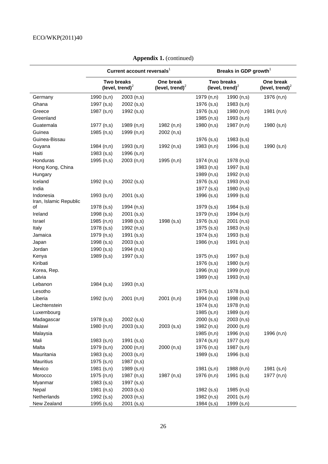|                                     | Current account reversals <sup>1</sup>           |              |                                          | Breaks in GDP growth <sup>1</sup>       |            |                                 |  |
|-------------------------------------|--------------------------------------------------|--------------|------------------------------------------|-----------------------------------------|------------|---------------------------------|--|
|                                     | <b>Two breaks</b><br>(level, trend) <sup>2</sup> |              | One break<br>(level, trend) <sup>2</sup> | <b>Two breaks</b><br>(level, trend) $2$ |            | One break<br>(level, trend) $2$ |  |
| Germany                             | 1990 (s,n)                                       | 2003 (n,s)   |                                          | 1979 (n,n)                              | 1990 (n,s) | 1976 (n,n)                      |  |
| Ghana                               | 1997 (s,s)                                       | $2002$ (s,s) |                                          | 1976 (s,s)                              | 1983 (s,n) |                                 |  |
| Greece                              | 1987 (s,n)                                       | 1992 (s,s)   |                                          | 1976 (s,s)                              | 1980 (n,n) | 1981(n,n)                       |  |
| Greenland                           |                                                  |              |                                          | 1985 (n,s)                              | 1993 (s,n) |                                 |  |
| Guatemala                           | 1977 (n,s)                                       | 1989 (n,n)   | 1982 (n,n)                               | 1980 (n,s)                              | 1987 (n,n) | 1980 (s,n)                      |  |
| Guinea                              | 1985 (n,s)                                       | 1999 (n,n)   | 2002 (n,s)                               |                                         |            |                                 |  |
| Guinea-Bissau                       |                                                  |              |                                          | 1976 (s,s)                              | 1983(s,s)  |                                 |  |
| Guyana                              | 1984(n,n)                                        | 1993(s,n)    | 1992 (n,s)                               | 1983 (n,n)                              | 1996 (s,s) | 1990 (s,n)                      |  |
| Haiti                               | 1983(s,s)                                        | 1996 (s,n)   |                                          |                                         |            |                                 |  |
| Honduras                            | 1995 (n,s)                                       | 2003(n,n)    | 1995 (n,n)                               | 1974 (n,s)                              | 1978 (n,s) |                                 |  |
| Hong Kong, China                    |                                                  |              |                                          | 1983 (n,s)                              | 1997 (s,s) |                                 |  |
| Hungary                             |                                                  |              |                                          | 1989 (n,s)                              | 1992 (n,s) |                                 |  |
| Iceland                             | 1992 (n,s)                                       | $2002$ (s,s) |                                          | 1976 (s,s)                              | 1993 (n,s) |                                 |  |
| India                               |                                                  |              |                                          | 1977 (s,s)                              | 1980 (n,s) |                                 |  |
| Indonesia<br>Iran, Islamic Republic | 1993(s,n)                                        | $2001$ (s,s) |                                          | 1996 (s,s)                              | 1999 (s,s) |                                 |  |
| οf                                  | 1978 (s,s)                                       | 1994 (n,s)   |                                          | 1979 (s,s)                              | 1984 (s,s) |                                 |  |
| Ireland                             | 1998 (s,s)                                       | 2001 (s,s)   |                                          | 1979 (n,s)                              | 1994 (s,n) |                                 |  |
| Israel                              | 1985 (n,n)                                       | 1998 (s,s)   | 1998 (s,s)                               | 1976 (s,s)                              | 2001 (n,s) |                                 |  |
| Italy                               | 1978 (s,s)                                       | 1992 (n,s)   |                                          | 1975 (s,s)                              | 1983 (n,s) |                                 |  |
| Jamaica                             | 1979 (n,s)                                       | 1991 (s,s)   |                                          | 1974 (s,s)                              | 1993(s,s)  |                                 |  |
| Japan                               | 1998 (s,s)                                       | $2003$ (s,s) |                                          | 1986 (n,s)                              | 1991 (n,s) |                                 |  |
| Jordan                              | 1990(s,s)                                        | 1994 (n,s)   |                                          |                                         |            |                                 |  |
| Kenya                               | 1989(s,s)                                        | 1997 (s,s)   |                                          | 1975 (n,s)                              | 1997 (s,s) |                                 |  |
| Kiribati                            |                                                  |              |                                          | 1976 (s,s)                              | 1980 (s,n) |                                 |  |
| Korea, Rep.                         |                                                  |              |                                          | 1996 (n,s)                              | 1999 (n,n) |                                 |  |
| Latvia                              |                                                  |              |                                          | 1989 (n,s)                              | 1993 (n,s) |                                 |  |
| Lebanon                             | 1984 (s,s)                                       | 1993 (n,s)   |                                          |                                         |            |                                 |  |
| Lesotho                             |                                                  |              |                                          | 1975 (s,s)                              | 1978 (s,s) |                                 |  |
| Liberia                             | 1992 (s,n)                                       | 2001(n,n)    | 2001 (n,n)                               | 1994 (n,s)                              | 1998 (n,s) |                                 |  |
| Liechtenstein                       |                                                  |              |                                          | 1974 (s,s)                              | 1978 (n,s) |                                 |  |
| Luxembourg                          |                                                  |              |                                          | 1985 (s,n)                              | 1989 (s,n) |                                 |  |
| Madagascar                          | 1978 (s,s)                                       | $2002$ (s,s) |                                          | 2000(s,s)                               | 2003 (n,s) |                                 |  |
| Malawi                              | 1980 (n,n)                                       | $2003$ (s,s) | $2003$ (s,s)                             | 1982 (n,s)                              | 2000 (s,n) |                                 |  |
| Malaysia                            |                                                  |              |                                          | 1985 (n,n)                              | 1996 (n,s) | 1996 (n,n)                      |  |
| Mali                                | 1983 (s,n)                                       | 1991 (s,s)   |                                          | 1974 (s,n)                              | 1977 (s,n) |                                 |  |
| Malta                               | 1979 (s,n)                                       | 2000 (n,n)   | 2000 (n,s)                               | 1976 (n,s)                              | 1987 (s,n) |                                 |  |
| Mauritania                          | 1983(s,s)                                        | 2003 (s,n)   |                                          | 1989 (s,s)                              | 1996 (s,s) |                                 |  |
| <b>Mauritius</b>                    | 1975 (s,n)                                       | 1987 (n,s)   |                                          |                                         |            |                                 |  |
| Mexico                              | $1981$ (s,n)                                     | 1989 (s,n)   |                                          | 1981 (s,n)                              | 1988 (n,n) | 1981 (s,n)                      |  |
| Morocco                             | 1975 (n,n)                                       | 1987 (n,s)   | 1987 (n,s)                               | 1976 (n,n)                              | 1991 (s,s) | 1977 (n,n)                      |  |
| Myanmar                             | 1983(s,s)                                        | 1997 (s,s)   |                                          |                                         |            |                                 |  |
| Nepal                               | 1981 (n,s)                                       | $2003$ (s,s) |                                          | 1982 (s,s)                              | 1985 (n,s) |                                 |  |
| Netherlands                         | 1992 (s,s)                                       | 2003(n,s)    |                                          | 1982 (n,s)                              | 2001 (s,n) |                                 |  |
| New Zealand                         | 1995 (s,s)                                       | $2001$ (s,s) |                                          | 1984 (s,s)                              | 1999 (s,n) |                                 |  |

**Appendix 1.** (continued)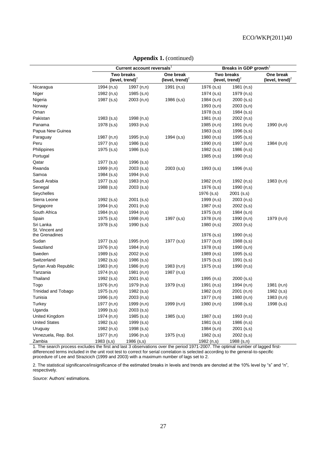|                      | Current account reversals'              |              | Breaks in GDP growth            |                                  |              |                                 |
|----------------------|-----------------------------------------|--------------|---------------------------------|----------------------------------|--------------|---------------------------------|
|                      | <b>Two breaks</b><br>(level, trend) $2$ |              | One break<br>(level, trend) $2$ | Two breaks<br>(level, trend) $2$ |              | One break<br>(level, trend) $2$ |
| Nicaragua            | 1994 (n,s)                              | 1997 (n,n)   | 1991 (n,s)                      | 1976 (s,s)                       | 1981 (n,s)   |                                 |
| Niger                | 1982 (n,s)                              | $1985$ (s,n) |                                 | $1974$ (s,s)                     | 1979 (n,s)   |                                 |
| Nigeria              | 1987 (s,s)                              | 2003(n,n)    | 1986 (s,s)                      | $1984$ (s,n)                     | $2000$ (s,s) |                                 |
| Norway               |                                         |              |                                 | $1993$ (s,n)                     | 2003 (s,n)   |                                 |
| Oman                 |                                         |              |                                 | 1978 (s,s)                       | $1984$ (s,s) |                                 |
| Pakistan             | 1983 (s,s)                              | 1998 (n,s)   |                                 | 1981 (n,s)                       | 2002 (n,s)   |                                 |
| Panama               | 1978 (s,s)                              | 1993 (n,s)   |                                 | 1985 (n,n)                       | 1991 $(n,n)$ | 1990 (n,n)                      |
| Papua New Guinea     |                                         |              |                                 | $1983$ (s,s)                     | 1996 (s,s)   |                                 |
| Paraguay             | 1987 (n,n)                              | 1995 (n,s)   | $1994$ (s,s)                    | 1980 (n,s)                       | 1995 (s,s)   |                                 |
| Peru                 | 1977 (n,s)                              | 1986 (s,s)   |                                 | 1990 (n,n)                       | 1997 (s,n)   | 1984 (n,n)                      |
| Philippines          | 1975 (s,s)                              | 1986 (s,s)   |                                 | $1982$ (s,s)                     | 1986 (n,s)   |                                 |
| Portugal             |                                         |              |                                 | 1985 (n,s)                       | 1990 (n,s)   |                                 |
| Qatar                | 1977 (s,s)                              | $1996$ (s,s) |                                 |                                  |              |                                 |
| Rwanda               | 1999 (n,n)                              | $2003$ (s,s) | $2003$ (s,s)                    | 1993(s,s)                        | 1996 (n,s)   |                                 |
| Samoa                | 1984 (s,s)                              | 1994 (n,s)   |                                 |                                  |              |                                 |
| Saudi Arabia         | 1977 (s,s)                              | 1983(n,s)    |                                 | 1982 (n,n)                       | 1992 (n,s)   | 1983(n,n)                       |
| Senegal              | 1988 (s,s)                              | $2003$ (s,s) |                                 | 1976 (s,s)                       | 1990 (n,s)   |                                 |
| Seychelles           |                                         |              |                                 | 1976 (s,s)                       | 2001 (s,s)   |                                 |
| Sierra Leone         | 1992 (s,s)                              | $2001$ (s,s) |                                 | 1999 (n,s)                       | 2003 (n,s)   |                                 |
| Singapore            | 1994 (n,s)                              | $2001$ (n,s) |                                 | 1987 (n,s)                       | $2002$ (s,s) |                                 |
| South Africa         | 1984 (n,s)                              | 1994 (n,s)   |                                 | 1975 (s,n)                       | 1984 (s,n)   |                                 |
| Spain                | 1975 (s,s)                              | 1998(n,n)    | 1997 (s,s)                      | 1978 (n,n)                       | 1990 (n,n)   | 1979 (n,n)                      |
| Sri Lanka            | 1978 (s,s)                              | 1990(s,s)    |                                 | 1980 (n,s)                       | 2003 (n,s)   |                                 |
| St. Vincent and      |                                         |              |                                 |                                  |              |                                 |
| the Grenadines       |                                         |              |                                 | 1976 (s,s)                       | 1990 (n,s)   |                                 |
| Sudan                | 1977 (s,s)                              | 1995(n,n)    | 1977 (s,s)                      | 1977 (s,n)                       | 1988 (s,s)   |                                 |
| Swaziland            | 1976 (n,s)                              | 1984 (n,s)   |                                 | 1978 (n,s)                       | 1990 (s,n)   |                                 |
| Sweden               | 1989(s,s)                               | 2002 (n,s)   |                                 | 1989 (n,s)                       | $1995$ (s,s) |                                 |
| Switzerland          | 1982 (s,s)                              | $1986$ (s,s) |                                 | $1975$ (s,s)                     | $1991$ (s,s) |                                 |
| Syrian Arab Republic | 1983 (n,n)                              | 1986(n,n)    | 1983(n,n)                       | 1975 (n,s)                       | 1990 (n,s)   |                                 |
| Tanzania             | 1974 (n,s)                              | 1981 $(n,n)$ | 1987 (n,s)                      |                                  |              |                                 |
| Thailand             | 1992 (s,s)                              | $2001$ (n,s) |                                 | 1995 (n,s)                       | $2000$ (s,s) |                                 |
| Togo                 | 1976 (n,n)                              | 1979 (n,s)   | 1979 (n,s)                      | 1991 (n,s)                       | 1994 (n,n)   | 1981 (n,n)                      |
| Trinidad and Tobago  | 1975 (s,n)                              | 1982 (s,s)   |                                 | 1982 (s,n)                       | 2001 (n,n)   | $1982$ (s,s)                    |
| Tunisia              | 1996 (s,n)                              | 2003(n,s)    |                                 | 1977 (n,n)                       | 1980 (n,n)   | 1983(n,n)                       |
| Turkey               | 1977 (n,n)                              | 1999 (n,n)   | 1999 (n,n)                      | 1980 (n,n)                       | $1998$ (s,s) | $1998$ (s,s)                    |
| Uganda               | 1999(s,s)                               | $2003$ (s,s) |                                 |                                  |              |                                 |
| United Kingdom       | 1974 (n,n)                              | $1985$ (s,s) | $1985$ (s,s)                    | 1987 (s,s)                       | 1993 (n,s)   |                                 |
| <b>United States</b> | 1982 (s,s)                              | 1999(s,s)    |                                 | $1981$ (s,s)                     | 1986 (n,s)   |                                 |
| Uruguay              | 1982 (n,s)                              | 1998 (s,s)   |                                 | $1984$ (s,n)                     | $2001$ (s,s) |                                 |
| Venezuela, Rep. Bol. | 1977 (n,n)                              | 1996 (n,s)   | 1975 (n,s)                      | $1982$ (s,s)                     | 2002 (s,s)   |                                 |
| Zambia               | 1983(s,s)                               | 1986 (s,s)   |                                 | 1982 (n,s)                       | 1988 (s,n)   |                                 |

#### **Appendix 1.** (continued)

1. The search process excludes the first and last 3 observations over the period 1971-2007. The optimal number of lagged firstdifferenced terms included in the unit root test to correct for serial correlation is selected according to the general-to-specific procedure of Lee and Strazicich (1999 and 2003) with a maximum number of lags set to 2.

2. The statistical significance/insignificance of the estimated breaks in levels and trends are denoted at the 10% level by "s" and "n", respectively.

*Source:* Authors' estimations.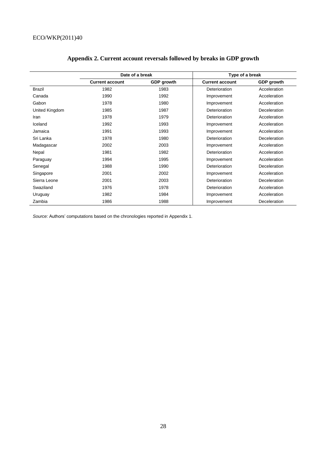|                | Date of a break        |                   | Type of a break        |                   |  |
|----------------|------------------------|-------------------|------------------------|-------------------|--|
|                | <b>Current account</b> | <b>GDP</b> growth | <b>Current account</b> | <b>GDP</b> growth |  |
| <b>Brazil</b>  | 1982                   | 1983              | Deterioration          | Acceleration      |  |
| Canada         | 1990                   | 1992              | Improvement            | Acceleration      |  |
| Gabon          | 1978                   | 1980              | Improvement            | Acceleration      |  |
| United Kingdom | 1985                   | 1987              | Deterioration          | Deceleration      |  |
| Iran           | 1978                   | 1979              | Deterioration          | Acceleration      |  |
| Iceland        | 1992                   | 1993              | Improvement            | Acceleration      |  |
| Jamaica        | 1991                   | 1993              | Improvement            | Acceleration      |  |
| Sri Lanka      | 1978                   | 1980              | Deterioration          | Deceleration      |  |
| Madagascar     | 2002                   | 2003              | Improvement            | Acceleration      |  |
| Nepal          | 1981                   | 1982              | Deterioration          | Acceleration      |  |
| Paraguay       | 1994                   | 1995              | Improvement            | Acceleration      |  |
| Senegal        | 1988                   | 1990              | Deterioration          | Deceleration      |  |
| Singapore      | 2001                   | 2002              | Improvement            | Acceleration      |  |
| Sierra Leone   | 2001                   | 2003              | Deterioration          | Deceleration      |  |
| Swaziland      | 1976                   | 1978              | Deterioration          | Acceleration      |  |
| Uruguay        | 1982                   | 1984              | Improvement            | Acceleration      |  |
| Zambia         | 1986                   | 1988              | Improvement            | Deceleration      |  |

# **Appendix 2. Current account reversals followed by breaks in GDP growth**

*Source:* Authors' computations based on the chronologies reported in Appendix 1.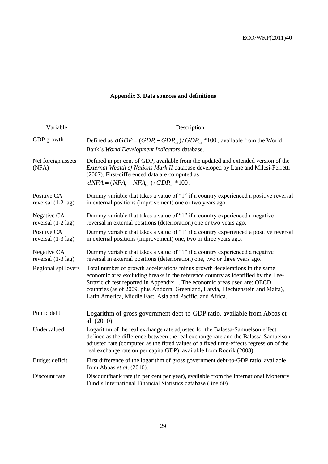| Variable                                    | Description                                                                                                                                                                                                                                                                                                                                                                                     |  |  |  |
|---------------------------------------------|-------------------------------------------------------------------------------------------------------------------------------------------------------------------------------------------------------------------------------------------------------------------------------------------------------------------------------------------------------------------------------------------------|--|--|--|
| GDP growth                                  | Defined as $dGDP = (GDP_t - GDP_{t-1}) / GDP_{t-1} * 100$ , available from the World<br>Bank's World Development Indicators database.                                                                                                                                                                                                                                                           |  |  |  |
| Net foreign assets<br>(NFA)                 | Defined in per cent of GDP, available from the updated and extended version of the<br>External Wealth of Nations Mark II database developed by Lane and Milesi-Ferretti<br>(2007). First-differenced data are computed as<br>$dNFA = (NFA, -NFA_{-1})/GDP_{-1} * 100$ .                                                                                                                         |  |  |  |
| Positive CA<br>reversal $(1-2 \text{ lag})$ | Dummy variable that takes a value of "1" if a country experienced a positive reversal<br>in external positions (improvement) one or two years ago.                                                                                                                                                                                                                                              |  |  |  |
| Negative CA<br>reversal $(1-2 \text{ lag})$ | Dummy variable that takes a value of "1" if a country experienced a negative<br>reversal in external positions (deterioration) one or two years ago.                                                                                                                                                                                                                                            |  |  |  |
| Positive CA<br>reversal $(1-3 \text{ lag})$ | Dummy variable that takes a value of "1" if a country experienced a positive reversal<br>in external positions (improvement) one, two or three years ago.                                                                                                                                                                                                                                       |  |  |  |
| Negative CA<br>reversal (1-3 lag)           | Dummy variable that takes a value of "1" if a country experienced a negative<br>reversal in external positions (deterioration) one, two or three years ago.                                                                                                                                                                                                                                     |  |  |  |
| Regional spillovers                         | Total number of growth accelerations minus growth decelerations in the same<br>economic area excluding breaks in the reference country as identified by the Lee-<br>Strazicich test reported in Appendix 1. The economic areas used are: OECD<br>countries (as of 2009, plus Andorra, Greenland, Latvia, Liechtenstein and Malta),<br>Latin America, Middle East, Asia and Pacific, and Africa. |  |  |  |
| Public debt                                 | Logarithm of gross government debt-to-GDP ratio, available from Abbas et<br>al. (2010).                                                                                                                                                                                                                                                                                                         |  |  |  |
| Undervalued                                 | Logarithm of the real exchange rate adjusted for the Balassa-Samuelson effect<br>defined as the difference between the real exchange rate and the Balassa-Samuelson-<br>adjusted rate (computed as the fitted values of a fixed time-effects regression of the<br>real exchange rate on per capita GDP), available from Rodrik (2008).                                                          |  |  |  |
| Budget deficit                              | First difference of the logarithm of gross government debt-to-GDP ratio, available<br>from Abbas et al. (2010).                                                                                                                                                                                                                                                                                 |  |  |  |
| Discount rate                               | Discount/bank rate (in per cent per year), available from the International Monetary<br>Fund's International Financial Statistics database (line 60).                                                                                                                                                                                                                                           |  |  |  |

# **Appendix 3. Data sources and definitions**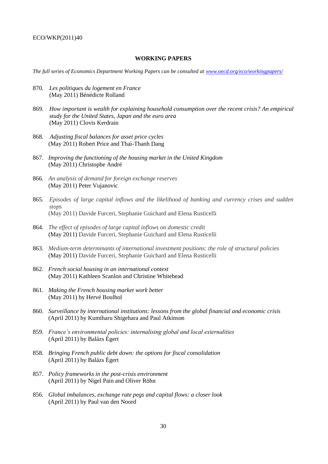#### **WORKING PAPERS**

*The full series of Economics Department Working Papers can be consulted at [www.oecd.org/eco/workingpapers/](http://www.oecd.org/eco/working_papers/)*

- 870. *Les politiques du logement en France* (May 2011) Bénédicte Rolland
- 869. *How important is wealth for explaining household consumption over the recent crisis? An empirical study for the United States, Japan and the euro area* (May 2011) Clovis Kerdrain
- 868. *Adjusting fiscal balances for asset price cycles* (May 2011) Robert Price and Thai-Thanh Dang
- 867. *Improving the functioning of the housing market in the United Kingdom* (May 2011) Christophe André
- 866. *An analysis of demand for foreign exchange reserves* (May 2011) Peter Vujanovic
- 865. *Episodes of large capital inflows and the likelihood of banking and currency crises and sudden stops* (May 2011) Davide Furceri, Stephanie Guichard and Elena Rusticelli
- 864. *The effect of episodes of large capital inflows on domestic credit* (May 2011) Davide Furceri, Stephanie Guichard and Elena Rusticelli
- 863. *Medium-term determinants of international investment positions: the role of structural policies* (May 2011) Davide Furceri, Stephanie Guichard and Elena Rusticelli
- 862. *French social housing in an international context* (May 2011) Kathleen Scanlon and Christine Whitehead
- 861. *Making the French housing market work better* (May 2011) by Hervé Boulhol
- 860. *Surveillance by international institutions: lessons from the global financial and economic crisis* (April 2011) by Kumiharu Shigehara and Paul Atkinson
- 859. *France's environmental policies: internalising global and local externalities* (April 2011) by Balázs Égert
- 858. *Bringing French public debt down: the options for fiscal consolidation* (April 2011) by Balázs Égert
- 857. *Policy frameworks in the post-crisis environment* (April 2011) by Nigel Pain and Oliver Röhn
- 856. *Global imbalances, exchange rate pegs and capital flows: a closer look* (April 2011) by Paul van den Noord